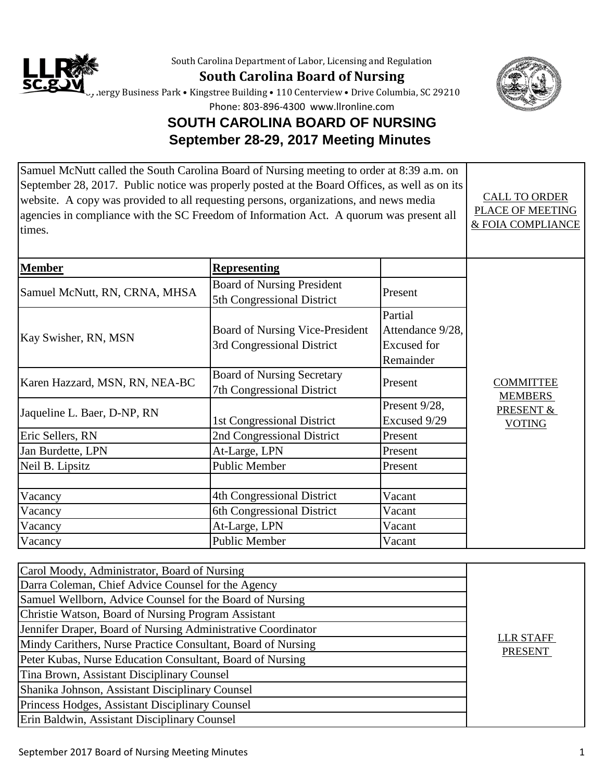

South Carolina Department of Labor, Licensing and Regulation

**South Carolina Board of Nursing**



ergy Business Park • Kingstree Building • 110 Centerview • Drive Columbia, SC 29210

Phone: 803-896-4300 www.llronline.com

## **SOUTH CAROLINA BOARD OF NURSING September 28-29, 2017 Meeting Minutes**

| Samuel McNutt called the South Carolina Board of Nursing meeting to order at 8:39 a.m. on<br>September 28, 2017. Public notice was properly posted at the Board Offices, as well as on its<br>website. A copy was provided to all requesting persons, organizations, and news media<br>agencies in compliance with the SC Freedom of Information Act. A quorum was present all<br>times. |                                                                      |                                                                | <b>CALL TO ORDER</b><br>PLACE OF MEETING<br>& FOIA COMPLIANCE    |
|------------------------------------------------------------------------------------------------------------------------------------------------------------------------------------------------------------------------------------------------------------------------------------------------------------------------------------------------------------------------------------------|----------------------------------------------------------------------|----------------------------------------------------------------|------------------------------------------------------------------|
| <b>Member</b>                                                                                                                                                                                                                                                                                                                                                                            | <b>Representing</b>                                                  |                                                                |                                                                  |
| Samuel McNutt, RN, CRNA, MHSA                                                                                                                                                                                                                                                                                                                                                            | <b>Board of Nursing President</b><br>5th Congressional District      | Present                                                        |                                                                  |
| Kay Swisher, RN, MSN                                                                                                                                                                                                                                                                                                                                                                     | <b>Board of Nursing Vice-President</b><br>3rd Congressional District | Partial<br>Attendance 9/28,<br><b>Excused</b> for<br>Remainder |                                                                  |
| Karen Hazzard, MSN, RN, NEA-BC                                                                                                                                                                                                                                                                                                                                                           | <b>Board of Nursing Secretary</b><br>7th Congressional District      | Present                                                        | <b>COMMITTEE</b><br><b>MEMBERS</b><br>PRESENT &<br><b>VOTING</b> |
| Jaqueline L. Baer, D-NP, RN                                                                                                                                                                                                                                                                                                                                                              | 1st Congressional District                                           | Present 9/28,<br>Excused 9/29                                  |                                                                  |
| Eric Sellers, RN                                                                                                                                                                                                                                                                                                                                                                         | 2nd Congressional District                                           | Present                                                        |                                                                  |
| Jan Burdette, LPN                                                                                                                                                                                                                                                                                                                                                                        | At-Large, LPN                                                        | Present                                                        |                                                                  |
| Neil B. Lipsitz                                                                                                                                                                                                                                                                                                                                                                          | <b>Public Member</b>                                                 | Present                                                        |                                                                  |
| Vacancy                                                                                                                                                                                                                                                                                                                                                                                  | 4th Congressional District                                           | Vacant                                                         |                                                                  |
| Vacancy                                                                                                                                                                                                                                                                                                                                                                                  | 6th Congressional District                                           | Vacant                                                         |                                                                  |
| Vacancy                                                                                                                                                                                                                                                                                                                                                                                  | At-Large, LPN                                                        | Vacant                                                         |                                                                  |
| Vacancy                                                                                                                                                                                                                                                                                                                                                                                  | <b>Public Member</b>                                                 | Vacant                                                         |                                                                  |

| Carol Moody, Administrator, Board of Nursing<br>Darra Coleman, Chief Advice Counsel for the Agency |                                    |
|----------------------------------------------------------------------------------------------------|------------------------------------|
| Samuel Wellborn, Advice Counsel for the Board of Nursing                                           |                                    |
| Christie Watson, Board of Nursing Program Assistant                                                |                                    |
| Jennifer Draper, Board of Nursing Administrative Coordinator                                       |                                    |
| Mindy Carithers, Nurse Practice Consultant, Board of Nursing                                       | <b>LLR STAFF</b><br><b>PRESENT</b> |
| Peter Kubas, Nurse Education Consultant, Board of Nursing                                          |                                    |
| Tina Brown, Assistant Disciplinary Counsel                                                         |                                    |
| Shanika Johnson, Assistant Disciplinary Counsel                                                    |                                    |
| Princess Hodges, Assistant Disciplinary Counsel                                                    |                                    |
| Erin Baldwin, Assistant Disciplinary Counsel                                                       |                                    |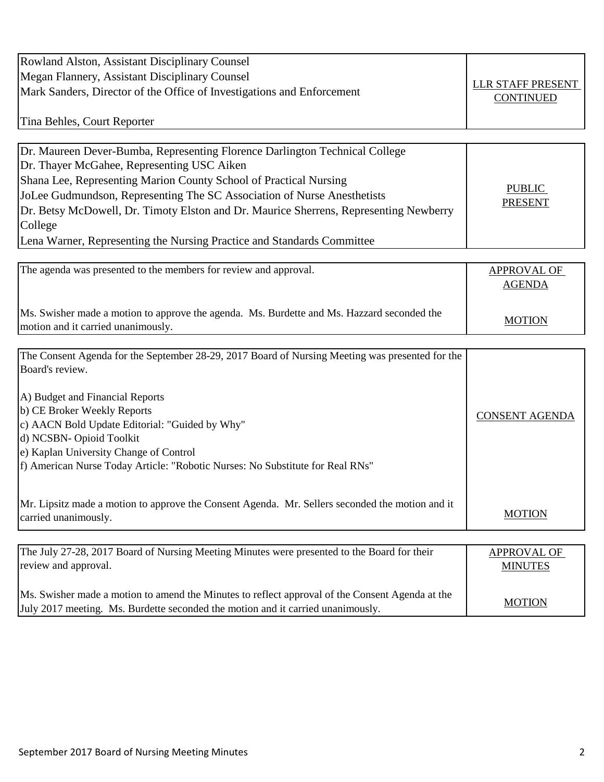| Rowland Alston, Assistant Disciplinary Counsel                                                  |                                      |
|-------------------------------------------------------------------------------------------------|--------------------------------------|
| Megan Flannery, Assistant Disciplinary Counsel                                                  | LLR STAFF PRESENT                    |
| Mark Sanders, Director of the Office of Investigations and Enforcement                          | <b>CONTINUED</b>                     |
|                                                                                                 |                                      |
| Tina Behles, Court Reporter                                                                     |                                      |
|                                                                                                 |                                      |
| Dr. Maureen Dever-Bumba, Representing Florence Darlington Technical College                     |                                      |
| Dr. Thayer McGahee, Representing USC Aiken                                                      |                                      |
| Shana Lee, Representing Marion County School of Practical Nursing                               | <b>PUBLIC</b>                        |
| JoLee Gudmundson, Representing The SC Association of Nurse Anesthetists                         | <b>PRESENT</b>                       |
| Dr. Betsy McDowell, Dr. Timoty Elston and Dr. Maurice Sherrens, Representing Newberry           |                                      |
| College                                                                                         |                                      |
| Lena Warner, Representing the Nursing Practice and Standards Committee                          |                                      |
|                                                                                                 |                                      |
| The agenda was presented to the members for review and approval.                                | APPROVAL OF                          |
|                                                                                                 | <b>AGENDA</b>                        |
|                                                                                                 |                                      |
| Ms. Swisher made a motion to approve the agenda. Ms. Burdette and Ms. Hazzard seconded the      | <b>MOTION</b>                        |
| motion and it carried unanimously.                                                              |                                      |
| The Consent Agenda for the September 28-29, 2017 Board of Nursing Meeting was presented for the |                                      |
| Board's review.                                                                                 |                                      |
|                                                                                                 |                                      |
| A) Budget and Financial Reports                                                                 |                                      |
| b) CE Broker Weekly Reports                                                                     | <b>CONSENT AGENDA</b>                |
| c) AACN Bold Update Editorial: "Guided by Why"                                                  |                                      |
| d) NCSBN- Opioid Toolkit                                                                        |                                      |
| e) Kaplan University Change of Control                                                          |                                      |
| f) American Nurse Today Article: "Robotic Nurses: No Substitute for Real RNs"                   |                                      |
|                                                                                                 |                                      |
| Mr. Lipsitz made a motion to approve the Consent Agenda. Mr. Sellers seconded the motion and it |                                      |
| carried unanimously.                                                                            | <b>MOTION</b>                        |
|                                                                                                 |                                      |
| The July 27-28, 2017 Board of Nursing Meeting Minutes were presented to the Board for their     |                                      |
| review and approval.                                                                            | <b>APPROVAL OF</b><br><b>MINUTES</b> |
|                                                                                                 |                                      |
| Ms. Swisher made a motion to amend the Minutes to reflect approval of the Consent Agenda at the |                                      |
| July 2017 meeting. Ms. Burdette seconded the motion and it carried unanimously.                 | <b>MOTION</b>                        |
|                                                                                                 |                                      |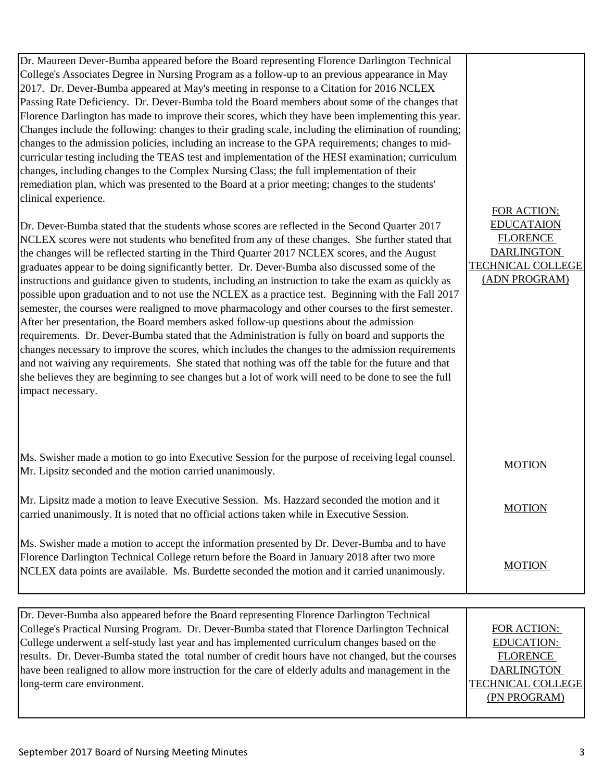| Dr. Maureen Dever-Bumba appeared before the Board representing Florence Darlington Technical          |                   |
|-------------------------------------------------------------------------------------------------------|-------------------|
| College's Associates Degree in Nursing Program as a follow-up to an previous appearance in May        |                   |
| 2017. Dr. Dever-Bumba appeared at May's meeting in response to a Citation for 2016 NCLEX              |                   |
| Passing Rate Deficiency. Dr. Dever-Bumba told the Board members about some of the changes that        |                   |
| Florence Darlington has made to improve their scores, which they have been implementing this year.    |                   |
| Changes include the following: changes to their grading scale, including the elimination of rounding; |                   |
| changes to the admission policies, including an increase to the GPA requirements; changes to mid-     |                   |
| curricular testing including the TEAS test and implementation of the HESI examination; curriculum     |                   |
| changes, including changes to the Complex Nursing Class; the full implementation of their             |                   |
| remediation plan, which was presented to the Board at a prior meeting; changes to the students'       |                   |
| clinical experience.                                                                                  |                   |
|                                                                                                       | FOR ACTION:       |
| Dr. Dever-Bumba stated that the students whose scores are reflected in the Second Quarter 2017        | <b>EDUCATAION</b> |
| NCLEX scores were not students who benefited from any of these changes. She further stated that       | <b>FLORENCE</b>   |
| the changes will be reflected starting in the Third Quarter 2017 NCLEX scores, and the August         | <b>DARLINGTON</b> |
| graduates appear to be doing significantly better. Dr. Dever-Bumba also discussed some of the         | TECHNICAL COLLEGE |
| instructions and guidance given to students, including an instruction to take the exam as quickly as  | (ADN PROGRAM)     |
| possible upon graduation and to not use the NCLEX as a practice test. Beginning with the Fall 2017    |                   |
| semester, the courses were realigned to move pharmacology and other courses to the first semester.    |                   |
| After her presentation, the Board members asked follow-up questions about the admission               |                   |
| requirements. Dr. Dever-Bumba stated that the Administration is fully on board and supports the       |                   |
| changes necessary to improve the scores, which includes the changes to the admission requirements     |                   |
| and not waiving any requirements. She stated that nothing was off the table for the future and that   |                   |
| she believes they are beginning to see changes but a lot of work will need to be done to see the full |                   |
| impact necessary.                                                                                     |                   |

| Ms. Swisher made a motion to go into Executive Session for the purpose of receiving legal counsel.<br>Mr. Lipsitz seconded and the motion carried unanimously.                              | <b>MOTION</b> |
|---------------------------------------------------------------------------------------------------------------------------------------------------------------------------------------------|---------------|
| Mr. Lipsitz made a motion to leave Executive Session. Ms. Hazzard seconded the motion and it<br>carried unanimously. It is noted that no official actions taken while in Executive Session. | <b>MOTION</b> |

Ms. Swisher made a motion to accept the information presented by Dr. Dever-Bumba and to have Florence Darlington Technical College return before the Board in January 2018 after two more NCLEX data points are available. Ms. Burdette seconded the motion and it carried unanimously.

| Dr. Dever-Bumba also appeared before the Board representing Florence Darlington Technical          |                          |
|----------------------------------------------------------------------------------------------------|--------------------------|
| College's Practical Nursing Program. Dr. Dever-Bumba stated that Florence Darlington Technical     | FOR ACTION:              |
| College underwent a self-study last year and has implemented curriculum changes based on the       | <b>EDUCATION:</b>        |
| results. Dr. Dever-Bumba stated the total number of credit hours have not changed, but the courses | <b>FLORENCE</b>          |
| have been realigned to allow more instruction for the care of elderly adults and management in the | <b>DARLINGTON</b>        |
| long-term care environment.                                                                        | <b>TECHNICAL COLLEGE</b> |
|                                                                                                    | (PN PROGRAM)             |
|                                                                                                    |                          |

**MOTION**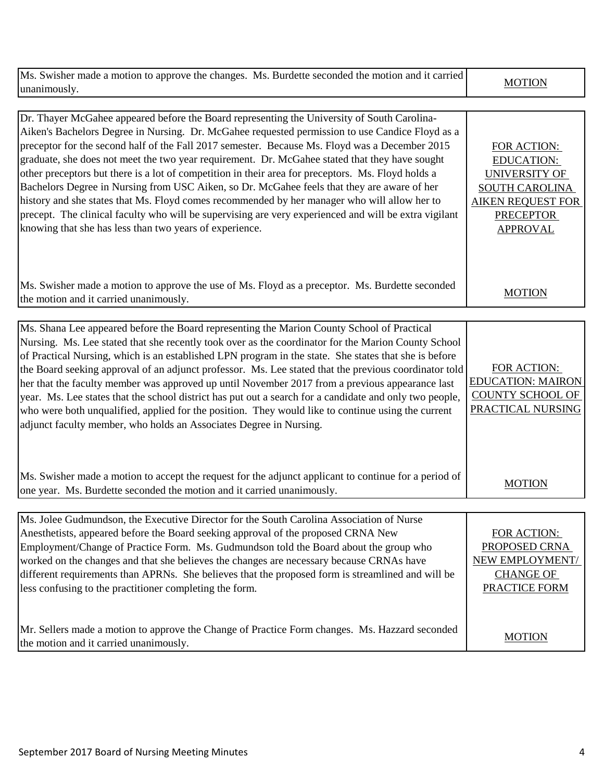| Ms. Swisher made a motion to approve the changes. Ms. Burdette seconded the motion and it carried<br>unanimously.                                                                                                                                                                                                                                                                                                                                                                                                                                                                                                                                                                                                                                                                                                                                                           | <b>MOTION</b>                                                                                                                                        |
|-----------------------------------------------------------------------------------------------------------------------------------------------------------------------------------------------------------------------------------------------------------------------------------------------------------------------------------------------------------------------------------------------------------------------------------------------------------------------------------------------------------------------------------------------------------------------------------------------------------------------------------------------------------------------------------------------------------------------------------------------------------------------------------------------------------------------------------------------------------------------------|------------------------------------------------------------------------------------------------------------------------------------------------------|
| Dr. Thayer McGahee appeared before the Board representing the University of South Carolina-<br>Aiken's Bachelors Degree in Nursing. Dr. McGahee requested permission to use Candice Floyd as a<br>preceptor for the second half of the Fall 2017 semester. Because Ms. Floyd was a December 2015<br>graduate, she does not meet the two year requirement. Dr. McGahee stated that they have sought<br>other preceptors but there is a lot of competition in their area for preceptors. Ms. Floyd holds a<br>Bachelors Degree in Nursing from USC Aiken, so Dr. McGahee feels that they are aware of her<br>history and she states that Ms. Floyd comes recommended by her manager who will allow her to<br>precept. The clinical faculty who will be supervising are very experienced and will be extra vigilant<br>knowing that she has less than two years of experience. | FOR ACTION:<br><b>EDUCATION:</b><br><b>UNIVERSITY OF</b><br><b>SOUTH CAROLINA</b><br><b>AIKEN REQUEST FOR</b><br><b>PRECEPTOR</b><br><b>APPROVAL</b> |
| Ms. Swisher made a motion to approve the use of Ms. Floyd as a preceptor. Ms. Burdette seconded<br>the motion and it carried unanimously.                                                                                                                                                                                                                                                                                                                                                                                                                                                                                                                                                                                                                                                                                                                                   | <b>MOTION</b>                                                                                                                                        |
| Ms. Shana Lee appeared before the Board representing the Marion County School of Practical<br>Nursing. Ms. Lee stated that she recently took over as the coordinator for the Marion County School<br>of Practical Nursing, which is an established LPN program in the state. She states that she is before<br>the Board seeking approval of an adjunct professor. Ms. Lee stated that the previous coordinator told<br>her that the faculty member was approved up until November 2017 from a previous appearance last<br>year. Ms. Lee states that the school district has put out a search for a candidate and only two people,<br>who were both unqualified, applied for the position. They would like to continue using the current<br>adjunct faculty member, who holds an Associates Degree in Nursing.                                                               | FOR ACTION:<br><b>EDUCATION: MAIRON</b><br><b>COUNTY SCHOOL OF</b><br>PRACTICAL NURSING                                                              |
| Ms. Swisher made a motion to accept the request for the adjunct applicant to continue for a period of<br>one year. Ms. Burdette seconded the motion and it carried unanimously.                                                                                                                                                                                                                                                                                                                                                                                                                                                                                                                                                                                                                                                                                             | <b>MOTION</b>                                                                                                                                        |
| Ms. Jolee Gudmundson, the Executive Director for the South Carolina Association of Nurse<br>Anesthetists, appeared before the Board seeking approval of the proposed CRNA New<br>Employment/Change of Practice Form. Ms. Gudmundson told the Board about the group who<br>worked on the changes and that she believes the changes are necessary because CRNAs have<br>different requirements than APRNs. She believes that the proposed form is streamlined and will be<br>less confusing to the practitioner completing the form.<br>Mr. Sellers made a motion to approve the Change of Practice Form changes. Ms. Hazzard seconded                                                                                                                                                                                                                                        | FOR ACTION:<br>PROPOSED CRNA<br>NEW EMPLOYMENT/<br><b>CHANGE OF</b><br>PRACTICE FORM                                                                 |
| the motion and it carried unanimously.                                                                                                                                                                                                                                                                                                                                                                                                                                                                                                                                                                                                                                                                                                                                                                                                                                      | <b>MOTION</b>                                                                                                                                        |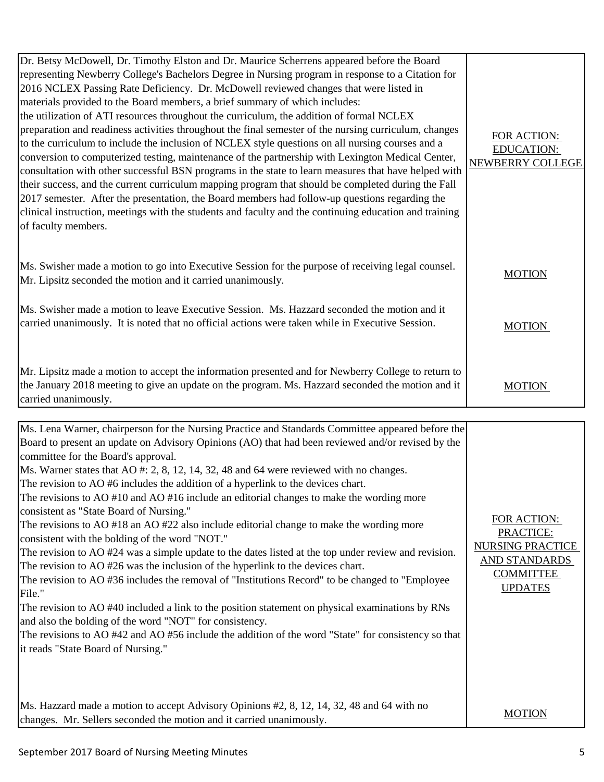| Dr. Betsy McDowell, Dr. Timothy Elston and Dr. Maurice Scherrens appeared before the Board<br>representing Newberry College's Bachelors Degree in Nursing program in response to a Citation for<br>2016 NCLEX Passing Rate Deficiency. Dr. McDowell reviewed changes that were listed in<br>materials provided to the Board members, a brief summary of which includes:<br>the utilization of ATI resources throughout the curriculum, the addition of formal NCLEX<br>preparation and readiness activities throughout the final semester of the nursing curriculum, changes<br>to the curriculum to include the inclusion of NCLEX style questions on all nursing courses and a<br>conversion to computerized testing, maintenance of the partnership with Lexington Medical Center,<br>consultation with other successful BSN programs in the state to learn measures that have helped with<br>their success, and the current curriculum mapping program that should be completed during the Fall<br>2017 semester. After the presentation, the Board members had follow-up questions regarding the<br>clinical instruction, meetings with the students and faculty and the continuing education and training<br>of faculty members. | FOR ACTION:<br><b>EDUCATION:</b><br>NEWBERRY COLLEGE |
|----------------------------------------------------------------------------------------------------------------------------------------------------------------------------------------------------------------------------------------------------------------------------------------------------------------------------------------------------------------------------------------------------------------------------------------------------------------------------------------------------------------------------------------------------------------------------------------------------------------------------------------------------------------------------------------------------------------------------------------------------------------------------------------------------------------------------------------------------------------------------------------------------------------------------------------------------------------------------------------------------------------------------------------------------------------------------------------------------------------------------------------------------------------------------------------------------------------------------------------|------------------------------------------------------|
| Ms. Swisher made a motion to go into Executive Session for the purpose of receiving legal counsel.<br>Mr. Lipsitz seconded the motion and it carried unanimously.                                                                                                                                                                                                                                                                                                                                                                                                                                                                                                                                                                                                                                                                                                                                                                                                                                                                                                                                                                                                                                                                      | <b>MOTION</b>                                        |
| Ms. Swisher made a motion to leave Executive Session. Ms. Hazzard seconded the motion and it<br>carried unanimously. It is noted that no official actions were taken while in Executive Session.                                                                                                                                                                                                                                                                                                                                                                                                                                                                                                                                                                                                                                                                                                                                                                                                                                                                                                                                                                                                                                       | <b>MOTION</b>                                        |
| Mr. Lipsitz made a motion to accept the information presented and for Newberry College to return to<br>the January 2018 meeting to give an update on the program. Ms. Hazzard seconded the motion and it<br>carried unanimously.                                                                                                                                                                                                                                                                                                                                                                                                                                                                                                                                                                                                                                                                                                                                                                                                                                                                                                                                                                                                       | <b>MOTION</b>                                        |

| Ms. Lena Warner, chairperson for the Nursing Practice and Standards Committee appeared before the      |                                          |
|--------------------------------------------------------------------------------------------------------|------------------------------------------|
| Board to present an update on Advisory Opinions (AO) that had been reviewed and/or revised by the      |                                          |
| committee for the Board's approval.                                                                    |                                          |
| Ms. Warner states that AO #: 2, 8, 12, 14, 32, 48 and 64 were reviewed with no changes.                |                                          |
| The revision to AO #6 includes the addition of a hyperlink to the devices chart.                       |                                          |
| The revisions to AO #10 and AO #16 include an editorial changes to make the wording more               |                                          |
| consistent as "State Board of Nursing."                                                                |                                          |
| The revisions to AO #18 an AO #22 also include editorial change to make the wording more               | FOR ACTION:                              |
| consistent with the bolding of the word "NOT."                                                         | PRACTICE:                                |
| The revision to $AO$ #24 was a simple update to the dates listed at the top under review and revision. | <b>NURSING PRACTICE</b>                  |
| The revision to AO #26 was the inclusion of the hyperlink to the devices chart.                        | <b>AND STANDARDS</b><br><b>COMMITTEE</b> |
| The revision to AO #36 includes the removal of "Institutions Record" to be changed to "Employee"       | <b>UPDATES</b>                           |
| File."                                                                                                 |                                          |
| The revision to AO #40 included a link to the position statement on physical examinations by RNs       |                                          |
| and also the bolding of the word "NOT" for consistency.                                                |                                          |
| The revisions to AO #42 and AO #56 include the addition of the word "State" for consistency so that    |                                          |
| it reads "State Board of Nursing."                                                                     |                                          |
|                                                                                                        |                                          |
|                                                                                                        |                                          |
|                                                                                                        |                                          |
| Ms. Hazzard made a motion to accept Advisory Opinions #2, 8, 12, 14, 32, 48 and 64 with no             |                                          |
| changes. Mr. Sellers seconded the motion and it carried unanimously.                                   | <b>MOTION</b>                            |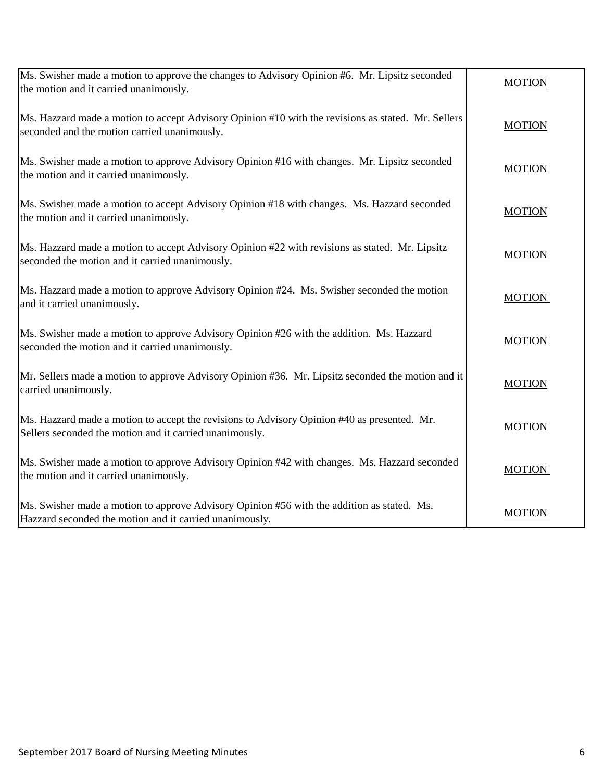| Ms. Swisher made a motion to approve the changes to Advisory Opinion #6. Mr. Lipsitz seconded<br>the motion and it carried unanimously.                | <b>MOTION</b> |
|--------------------------------------------------------------------------------------------------------------------------------------------------------|---------------|
| Ms. Hazzard made a motion to accept Advisory Opinion #10 with the revisions as stated. Mr. Sellers<br>seconded and the motion carried unanimously.     | <b>MOTION</b> |
| Ms. Swisher made a motion to approve Advisory Opinion #16 with changes. Mr. Lipsitz seconded<br>the motion and it carried unanimously.                 | <b>MOTION</b> |
| Ms. Swisher made a motion to accept Advisory Opinion #18 with changes. Ms. Hazzard seconded<br>the motion and it carried unanimously.                  | <b>MOTION</b> |
| Ms. Hazzard made a motion to accept Advisory Opinion #22 with revisions as stated. Mr. Lipsitz<br>seconded the motion and it carried unanimously.      | <b>MOTION</b> |
| Ms. Hazzard made a motion to approve Advisory Opinion #24. Ms. Swisher seconded the motion<br>and it carried unanimously.                              | <b>MOTION</b> |
| Ms. Swisher made a motion to approve Advisory Opinion #26 with the addition. Ms. Hazzard<br>seconded the motion and it carried unanimously.            | <b>MOTION</b> |
| Mr. Sellers made a motion to approve Advisory Opinion #36. Mr. Lipsitz seconded the motion and it<br>carried unanimously.                              | <b>MOTION</b> |
| Ms. Hazzard made a motion to accept the revisions to Advisory Opinion #40 as presented. Mr.<br>Sellers seconded the motion and it carried unanimously. | <b>MOTION</b> |
| Ms. Swisher made a motion to approve Advisory Opinion #42 with changes. Ms. Hazzard seconded<br>the motion and it carried unanimously.                 | <b>MOTION</b> |
| Ms. Swisher made a motion to approve Advisory Opinion #56 with the addition as stated. Ms.<br>Hazzard seconded the motion and it carried unanimously.  | <b>MOTION</b> |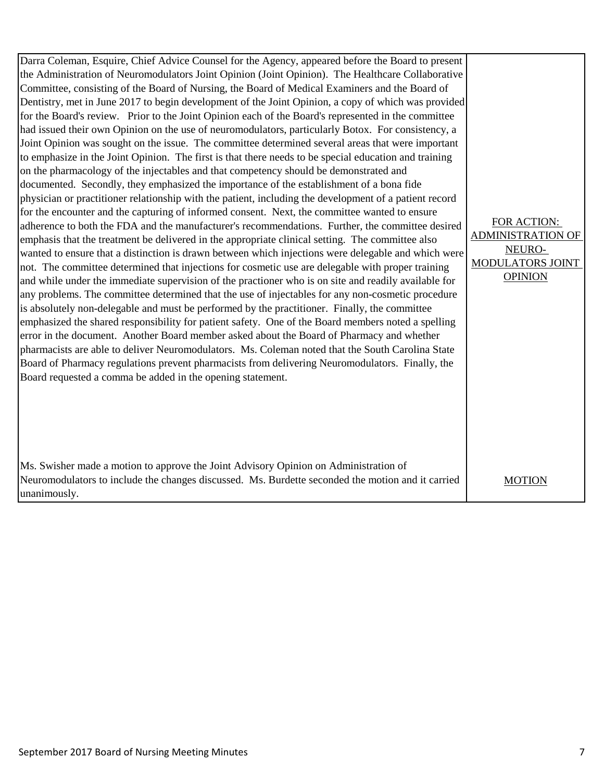| Darra Coleman, Esquire, Chief Advice Counsel for the Agency, appeared before the Board to present<br>the Administration of Neuromodulators Joint Opinion (Joint Opinion). The Healthcare Collaborative<br>Committee, consisting of the Board of Nursing, the Board of Medical Examiners and the Board of<br>Dentistry, met in June 2017 to begin development of the Joint Opinion, a copy of which was provided<br>for the Board's review. Prior to the Joint Opinion each of the Board's represented in the committee<br>had issued their own Opinion on the use of neuromodulators, particularly Botox. For consistency, a<br>Joint Opinion was sought on the issue. The committee determined several areas that were important<br>to emphasize in the Joint Opinion. The first is that there needs to be special education and training<br>on the pharmacology of the injectables and that competency should be demonstrated and<br>documented. Secondly, they emphasized the importance of the establishment of a bona fide<br>physician or practitioner relationship with the patient, including the development of a patient record<br>for the encounter and the capturing of informed consent. Next, the committee wanted to ensure<br>adherence to both the FDA and the manufacturer's recommendations. Further, the committee desired<br>emphasis that the treatment be delivered in the appropriate clinical setting. The committee also<br>wanted to ensure that a distinction is drawn between which injections were delegable and which were<br>not. The committee determined that injections for cosmetic use are delegable with proper training<br>and while under the immediate supervision of the practioner who is on site and readily available for<br>any problems. The committee determined that the use of injectables for any non-cosmetic procedure<br>is absolutely non-delegable and must be performed by the practitioner. Finally, the committee | FOR ACTION:<br><b>ADMINISTRATION OF</b><br>NEURO-<br><b>MODULATORS JOINT</b><br><b>OPINION</b> |
|------------------------------------------------------------------------------------------------------------------------------------------------------------------------------------------------------------------------------------------------------------------------------------------------------------------------------------------------------------------------------------------------------------------------------------------------------------------------------------------------------------------------------------------------------------------------------------------------------------------------------------------------------------------------------------------------------------------------------------------------------------------------------------------------------------------------------------------------------------------------------------------------------------------------------------------------------------------------------------------------------------------------------------------------------------------------------------------------------------------------------------------------------------------------------------------------------------------------------------------------------------------------------------------------------------------------------------------------------------------------------------------------------------------------------------------------------------------------------------------------------------------------------------------------------------------------------------------------------------------------------------------------------------------------------------------------------------------------------------------------------------------------------------------------------------------------------------------------------------------------------------------------------------------------------------------------------------------------------|------------------------------------------------------------------------------------------------|
| emphasized the shared responsibility for patient safety. One of the Board members noted a spelling<br>error in the document. Another Board member asked about the Board of Pharmacy and whether<br>pharmacists are able to deliver Neuromodulators. Ms. Coleman noted that the South Carolina State<br>Board of Pharmacy regulations prevent pharmacists from delivering Neuromodulators. Finally, the<br>Board requested a comma be added in the opening statement.                                                                                                                                                                                                                                                                                                                                                                                                                                                                                                                                                                                                                                                                                                                                                                                                                                                                                                                                                                                                                                                                                                                                                                                                                                                                                                                                                                                                                                                                                                         |                                                                                                |
| Ms. Swisher made a motion to approve the Joint Advisory Opinion on Administration of<br>Neuromodulators to include the changes discussed. Ms. Burdette seconded the motion and it carried<br>unanimously.                                                                                                                                                                                                                                                                                                                                                                                                                                                                                                                                                                                                                                                                                                                                                                                                                                                                                                                                                                                                                                                                                                                                                                                                                                                                                                                                                                                                                                                                                                                                                                                                                                                                                                                                                                    | <b>MOTION</b>                                                                                  |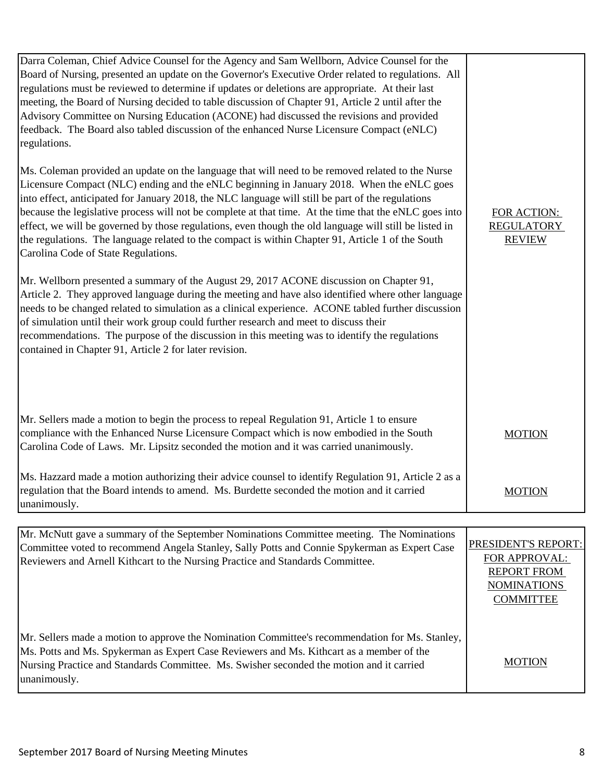| Darra Coleman, Chief Advice Counsel for the Agency and Sam Wellborn, Advice Counsel for the<br>Board of Nursing, presented an update on the Governor's Executive Order related to regulations. All<br>regulations must be reviewed to determine if updates or deletions are appropriate. At their last<br>meeting, the Board of Nursing decided to table discussion of Chapter 91, Article 2 until after the<br>Advisory Committee on Nursing Education (ACONE) had discussed the revisions and provided<br>feedback. The Board also tabled discussion of the enhanced Nurse Licensure Compact (eNLC)<br>regulations.<br>Ms. Coleman provided an update on the language that will need to be removed related to the Nurse<br>Licensure Compact (NLC) ending and the eNLC beginning in January 2018. When the eNLC goes<br>into effect, anticipated for January 2018, the NLC language will still be part of the regulations<br>because the legislative process will not be complete at that time. At the time that the eNLC goes into<br>effect, we will be governed by those regulations, even though the old language will still be listed in<br>the regulations. The language related to the compact is within Chapter 91, Article 1 of the South<br>Carolina Code of State Regulations.<br>Mr. Wellborn presented a summary of the August 29, 2017 ACONE discussion on Chapter 91,<br>Article 2. They approved language during the meeting and have also identified where other language<br>needs to be changed related to simulation as a clinical experience. ACONE tabled further discussion<br>of simulation until their work group could further research and meet to discuss their<br>recommendations. The purpose of the discussion in this meeting was to identify the regulations<br>contained in Chapter 91, Article 2 for later revision. | FOR ACTION:<br><b>REGULATORY</b><br><b>REVIEW</b>                                                           |
|----------------------------------------------------------------------------------------------------------------------------------------------------------------------------------------------------------------------------------------------------------------------------------------------------------------------------------------------------------------------------------------------------------------------------------------------------------------------------------------------------------------------------------------------------------------------------------------------------------------------------------------------------------------------------------------------------------------------------------------------------------------------------------------------------------------------------------------------------------------------------------------------------------------------------------------------------------------------------------------------------------------------------------------------------------------------------------------------------------------------------------------------------------------------------------------------------------------------------------------------------------------------------------------------------------------------------------------------------------------------------------------------------------------------------------------------------------------------------------------------------------------------------------------------------------------------------------------------------------------------------------------------------------------------------------------------------------------------------------------------------------------------------------------------------------------------------------------------------------|-------------------------------------------------------------------------------------------------------------|
| Mr. Sellers made a motion to begin the process to repeal Regulation 91, Article 1 to ensure<br>compliance with the Enhanced Nurse Licensure Compact which is now embodied in the South<br>Carolina Code of Laws. Mr. Lipsitz seconded the motion and it was carried unanimously.                                                                                                                                                                                                                                                                                                                                                                                                                                                                                                                                                                                                                                                                                                                                                                                                                                                                                                                                                                                                                                                                                                                                                                                                                                                                                                                                                                                                                                                                                                                                                                         | <b>MOTION</b>                                                                                               |
| Ms. Hazzard made a motion authorizing their advice counsel to identify Regulation 91, Article 2 as a<br>regulation that the Board intends to amend. Ms. Burdette seconded the motion and it carried<br>unanimously.                                                                                                                                                                                                                                                                                                                                                                                                                                                                                                                                                                                                                                                                                                                                                                                                                                                                                                                                                                                                                                                                                                                                                                                                                                                                                                                                                                                                                                                                                                                                                                                                                                      | <b>MOTION</b>                                                                                               |
|                                                                                                                                                                                                                                                                                                                                                                                                                                                                                                                                                                                                                                                                                                                                                                                                                                                                                                                                                                                                                                                                                                                                                                                                                                                                                                                                                                                                                                                                                                                                                                                                                                                                                                                                                                                                                                                          |                                                                                                             |
| Mr. McNutt gave a summary of the September Nominations Committee meeting. The Nominations<br>Committee voted to recommend Angela Stanley, Sally Potts and Connie Spykerman as Expert Case<br>Reviewers and Arnell Kithcart to the Nursing Practice and Standards Committee.                                                                                                                                                                                                                                                                                                                                                                                                                                                                                                                                                                                                                                                                                                                                                                                                                                                                                                                                                                                                                                                                                                                                                                                                                                                                                                                                                                                                                                                                                                                                                                              | PRESIDENT'S REPORT:<br><b>FOR APPROVAL:</b><br><b>REPORT FROM</b><br><b>NOMINATIONS</b><br><b>COMMITTEE</b> |
| Mr. Sellers made a motion to approve the Nomination Committee's recommendation for Ms. Stanley,<br>Ms. Potts and Ms. Spykerman as Expert Case Reviewers and Ms. Kithcart as a member of the<br>Nursing Practice and Standards Committee. Ms. Swisher seconded the motion and it carried                                                                                                                                                                                                                                                                                                                                                                                                                                                                                                                                                                                                                                                                                                                                                                                                                                                                                                                                                                                                                                                                                                                                                                                                                                                                                                                                                                                                                                                                                                                                                                  | <b>MOTION</b>                                                                                               |

unanimously.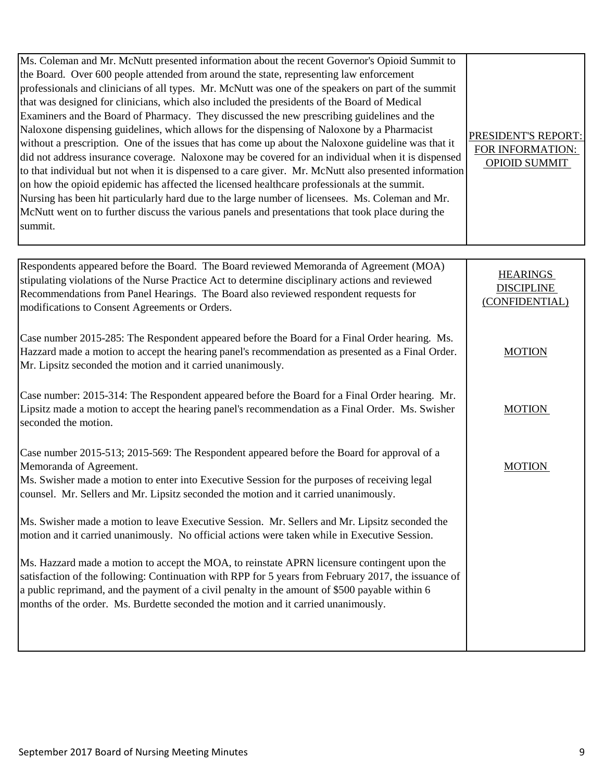| Ms. Coleman and Mr. McNutt presented information about the recent Governor's Opioid Summit to<br>the Board. Over 600 people attended from around the state, representing law enforcement<br>professionals and clinicians of all types. Mr. McNutt was one of the speakers on part of the summit<br>that was designed for clinicians, which also included the presidents of the Board of Medical<br>Examiners and the Board of Pharmacy. They discussed the new prescribing guidelines and the<br>Naloxone dispensing guidelines, which allows for the dispensing of Naloxone by a Pharmacist<br>without a prescription. One of the issues that has come up about the Naloxone guideline was that it<br>did not address insurance coverage. Naloxone may be covered for an individual when it is dispensed<br>to that individual but not when it is dispensed to a care giver. Mr. McNutt also presented information<br>on how the opioid epidemic has affected the licensed healthcare professionals at the summit.<br>Nursing has been hit particularly hard due to the large number of licensees. Ms. Coleman and Mr.<br>McNutt went on to further discuss the various panels and presentations that took place during the<br>summit. | PRESIDENT'S REPORT:<br>FOR INFORMATION:<br><b>OPIOID SUMMIT</b> |
|-----------------------------------------------------------------------------------------------------------------------------------------------------------------------------------------------------------------------------------------------------------------------------------------------------------------------------------------------------------------------------------------------------------------------------------------------------------------------------------------------------------------------------------------------------------------------------------------------------------------------------------------------------------------------------------------------------------------------------------------------------------------------------------------------------------------------------------------------------------------------------------------------------------------------------------------------------------------------------------------------------------------------------------------------------------------------------------------------------------------------------------------------------------------------------------------------------------------------------------------|-----------------------------------------------------------------|
|                                                                                                                                                                                                                                                                                                                                                                                                                                                                                                                                                                                                                                                                                                                                                                                                                                                                                                                                                                                                                                                                                                                                                                                                                                         |                                                                 |
| Respondents appeared before the Board. The Board reviewed Memoranda of Agreement (MOA)<br>stipulating violations of the Nurse Practice Act to determine disciplinary actions and reviewed<br>Recommendations from Panel Hearings. The Board also reviewed respondent requests for<br>modifications to Consent Agreements or Orders.                                                                                                                                                                                                                                                                                                                                                                                                                                                                                                                                                                                                                                                                                                                                                                                                                                                                                                     | <b>HEARINGS</b><br><b>DISCIPLINE</b><br>(CONFIDENTIAL)          |
| Case number 2015-285: The Respondent appeared before the Board for a Final Order hearing. Ms.<br>Hazzard made a motion to accept the hearing panel's recommendation as presented as a Final Order.<br>Mr. Lipsitz seconded the motion and it carried unanimously.                                                                                                                                                                                                                                                                                                                                                                                                                                                                                                                                                                                                                                                                                                                                                                                                                                                                                                                                                                       | <b>MOTION</b>                                                   |
| Case number: 2015-314: The Respondent appeared before the Board for a Final Order hearing. Mr.<br>Lipsitz made a motion to accept the hearing panel's recommendation as a Final Order. Ms. Swisher<br>seconded the motion.                                                                                                                                                                                                                                                                                                                                                                                                                                                                                                                                                                                                                                                                                                                                                                                                                                                                                                                                                                                                              | <b>MOTION</b>                                                   |
| Case number 2015-513; 2015-569: The Respondent appeared before the Board for approval of a<br>Memoranda of Agreement.<br>Ms. Swisher made a motion to enter into Executive Session for the purposes of receiving legal<br>counsel. Mr. Sellers and Mr. Lipsitz seconded the motion and it carried unanimously.                                                                                                                                                                                                                                                                                                                                                                                                                                                                                                                                                                                                                                                                                                                                                                                                                                                                                                                          | <b>MOTION</b>                                                   |
| Ms. Swisher made a motion to leave Executive Session. Mr. Sellers and Mr. Lipsitz seconded the<br>motion and it carried unanimously. No official actions were taken while in Executive Session.                                                                                                                                                                                                                                                                                                                                                                                                                                                                                                                                                                                                                                                                                                                                                                                                                                                                                                                                                                                                                                         |                                                                 |
| Ms. Hazzard made a motion to accept the MOA, to reinstate APRN licensure contingent upon the<br>satisfaction of the following: Continuation with RPP for 5 years from February 2017, the issuance of<br>a public reprimand, and the payment of a civil penalty in the amount of \$500 payable within 6<br>months of the order. Ms. Burdette seconded the motion and it carried unanimously.                                                                                                                                                                                                                                                                                                                                                                                                                                                                                                                                                                                                                                                                                                                                                                                                                                             |                                                                 |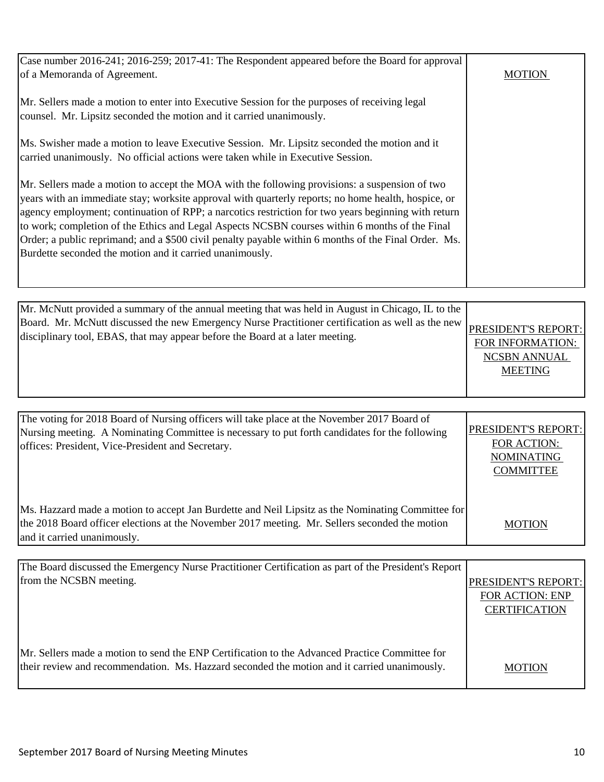| Case number 2016-241; 2016-259; 2017-41: The Respondent appeared before the Board for approval                                                                                                                                                                                                                                                                                                                                                                                                                                                                                     |               |
|------------------------------------------------------------------------------------------------------------------------------------------------------------------------------------------------------------------------------------------------------------------------------------------------------------------------------------------------------------------------------------------------------------------------------------------------------------------------------------------------------------------------------------------------------------------------------------|---------------|
| of a Memoranda of Agreement.                                                                                                                                                                                                                                                                                                                                                                                                                                                                                                                                                       | <b>MOTION</b> |
| Mr. Sellers made a motion to enter into Executive Session for the purposes of receiving legal<br>counsel. Mr. Lipsitz seconded the motion and it carried unanimously.                                                                                                                                                                                                                                                                                                                                                                                                              |               |
| Ms. Swisher made a motion to leave Executive Session. Mr. Lipsitz seconded the motion and it<br>carried unanimously. No official actions were taken while in Executive Session.                                                                                                                                                                                                                                                                                                                                                                                                    |               |
| Mr. Sellers made a motion to accept the MOA with the following provisions: a suspension of two<br>years with an immediate stay; worksite approval with quarterly reports; no home health, hospice, or<br>agency employment; continuation of RPP; a narcotics restriction for two years beginning with return<br>to work; completion of the Ethics and Legal Aspects NCSBN courses within 6 months of the Final<br>Order; a public reprimand; and a \$500 civil penalty payable within 6 months of the Final Order. Ms.<br>Burdette seconded the motion and it carried unanimously. |               |
|                                                                                                                                                                                                                                                                                                                                                                                                                                                                                                                                                                                    |               |

| Mr. McNutt provided a summary of the annual meeting that was held in August in Chicago, IL to the                                                                                                      |                     |
|--------------------------------------------------------------------------------------------------------------------------------------------------------------------------------------------------------|---------------------|
| Board. Mr. McNutt discussed the new Emergency Nurse Practitioner certification as well as the new PRESIDENT'S REPORT:<br>disciplinary tool, EBAS, that may appear before the Board at a later meeting. |                     |
|                                                                                                                                                                                                        | FOR INFORMATION:    |
|                                                                                                                                                                                                        | <b>NCSBN ANNUAL</b> |
|                                                                                                                                                                                                        | <b>MEETING</b>      |
|                                                                                                                                                                                                        |                     |

| The voting for 2018 Board of Nursing officers will take place at the November 2017 Board of<br>Nursing meeting. A Nominating Committee is necessary to put forth candidates for the following<br>offices: President, Vice-President and Secretary. | <b>PRESIDENT'S REPORT:</b><br>FOR ACTION:<br><b>NOMINATING</b><br><b>COMMITTEE</b> |
|----------------------------------------------------------------------------------------------------------------------------------------------------------------------------------------------------------------------------------------------------|------------------------------------------------------------------------------------|
| Ms. Hazzard made a motion to accept Jan Burdette and Neil Lipsitz as the Nominating Committee for<br>the 2018 Board officer elections at the November 2017 meeting. Mr. Sellers seconded the motion<br>and it carried unanimously.                 | <b>MOTION</b>                                                                      |

| The Board discussed the Emergency Nurse Practitioner Certification as part of the President's Report |                        |
|------------------------------------------------------------------------------------------------------|------------------------|
| from the NCSBN meeting.                                                                              | PRESIDENT'S REPORT:    |
|                                                                                                      | <b>FOR ACTION: ENP</b> |
|                                                                                                      | <b>CERTIFICATION</b>   |
|                                                                                                      |                        |
|                                                                                                      |                        |
| Mr. Sellers made a motion to send the ENP Certification to the Advanced Practice Committee for       |                        |
| their review and recommendation. Ms. Hazzard seconded the motion and it carried unanimously.         | <b>MOTION</b>          |
|                                                                                                      |                        |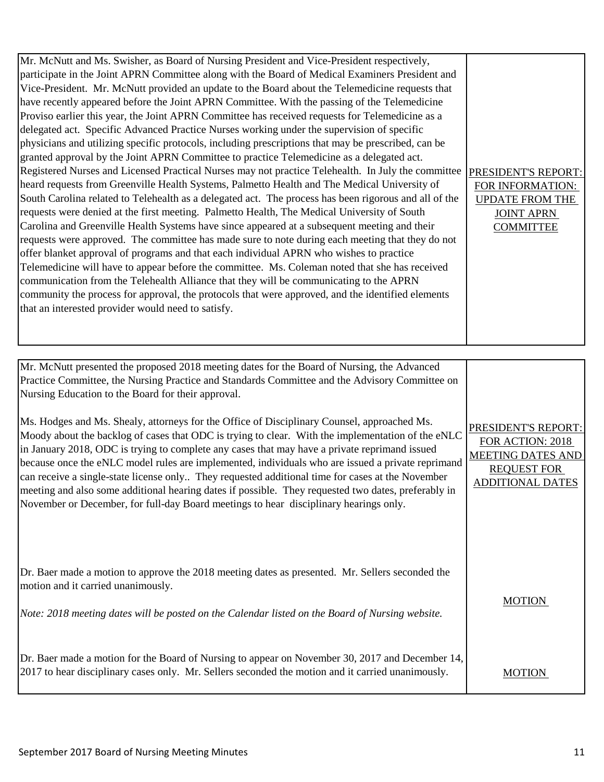| Mr. McNutt and Ms. Swisher, as Board of Nursing President and Vice-President respectively,<br>participate in the Joint APRN Committee along with the Board of Medical Examiners President and<br>Vice-President. Mr. McNutt provided an update to the Board about the Telemedicine requests that<br>have recently appeared before the Joint APRN Committee. With the passing of the Telemedicine<br>Proviso earlier this year, the Joint APRN Committee has received requests for Telemedicine as a<br>delegated act. Specific Advanced Practice Nurses working under the supervision of specific<br>physicians and utilizing specific protocols, including prescriptions that may be prescribed, can be<br>granted approval by the Joint APRN Committee to practice Telemedicine as a delegated act.<br>Registered Nurses and Licensed Practical Nurses may not practice Telehealth. In July the committee<br>heard requests from Greenville Health Systems, Palmetto Health and The Medical University of<br>South Carolina related to Telehealth as a delegated act. The process has been rigorous and all of the<br>requests were denied at the first meeting. Palmetto Health, The Medical University of South<br>Carolina and Greenville Health Systems have since appeared at a subsequent meeting and their<br>requests were approved. The committee has made sure to note during each meeting that they do not<br>offer blanket approval of programs and that each individual APRN who wishes to practice<br>Telemedicine will have to appear before the committee. Ms. Coleman noted that she has received<br>communication from the Telehealth Alliance that they will be communicating to the APRN<br>community the process for approval, the protocols that were approved, and the identified elements<br>that an interested provider would need to satisfy. | PRESIDENT'S REPORT:<br>FOR INFORMATION:<br><b>UPDATE FROM THE</b><br><b>JOINT APRN</b><br><b>COMMITTEE</b> |
|---------------------------------------------------------------------------------------------------------------------------------------------------------------------------------------------------------------------------------------------------------------------------------------------------------------------------------------------------------------------------------------------------------------------------------------------------------------------------------------------------------------------------------------------------------------------------------------------------------------------------------------------------------------------------------------------------------------------------------------------------------------------------------------------------------------------------------------------------------------------------------------------------------------------------------------------------------------------------------------------------------------------------------------------------------------------------------------------------------------------------------------------------------------------------------------------------------------------------------------------------------------------------------------------------------------------------------------------------------------------------------------------------------------------------------------------------------------------------------------------------------------------------------------------------------------------------------------------------------------------------------------------------------------------------------------------------------------------------------------------------------------------------------------------------------------------------------------------------------------------------|------------------------------------------------------------------------------------------------------------|
|                                                                                                                                                                                                                                                                                                                                                                                                                                                                                                                                                                                                                                                                                                                                                                                                                                                                                                                                                                                                                                                                                                                                                                                                                                                                                                                                                                                                                                                                                                                                                                                                                                                                                                                                                                                                                                                                           |                                                                                                            |

| Mr. McNutt presented the proposed 2018 meeting dates for the Board of Nursing, the Advanced<br>Practice Committee, the Nursing Practice and Standards Committee and the Advisory Committee on<br>Nursing Education to the Board for their approval.<br>Ms. Hodges and Ms. Shealy, attorneys for the Office of Disciplinary Counsel, approached Ms.<br>Moody about the backlog of cases that ODC is trying to clear. With the implementation of the eNLC<br>in January 2018, ODC is trying to complete any cases that may have a private reprimand issued<br>because once the eNLC model rules are implemented, individuals who are issued a private reprimand<br>can receive a single-state license only They requested additional time for cases at the November<br>meeting and also some additional hearing dates if possible. They requested two dates, preferably in<br>November or December, for full-day Board meetings to hear disciplinary hearings only. | PRESIDENT'S REPORT:<br>FOR ACTION: 2018<br><b>MEETING DATES AND</b><br><b>REQUEST FOR</b><br><b>ADDITIONAL DATES</b> |
|-------------------------------------------------------------------------------------------------------------------------------------------------------------------------------------------------------------------------------------------------------------------------------------------------------------------------------------------------------------------------------------------------------------------------------------------------------------------------------------------------------------------------------------------------------------------------------------------------------------------------------------------------------------------------------------------------------------------------------------------------------------------------------------------------------------------------------------------------------------------------------------------------------------------------------------------------------------------|----------------------------------------------------------------------------------------------------------------------|
| Dr. Baer made a motion to approve the 2018 meeting dates as presented. Mr. Sellers seconded the<br>motion and it carried unanimously.<br>Note: 2018 meeting dates will be posted on the Calendar listed on the Board of Nursing website.                                                                                                                                                                                                                                                                                                                                                                                                                                                                                                                                                                                                                                                                                                                          | <b>MOTION</b>                                                                                                        |
| Dr. Baer made a motion for the Board of Nursing to appear on November 30, 2017 and December 14,<br>2017 to hear disciplinary cases only. Mr. Sellers seconded the motion and it carried unanimously.                                                                                                                                                                                                                                                                                                                                                                                                                                                                                                                                                                                                                                                                                                                                                              | MOTION                                                                                                               |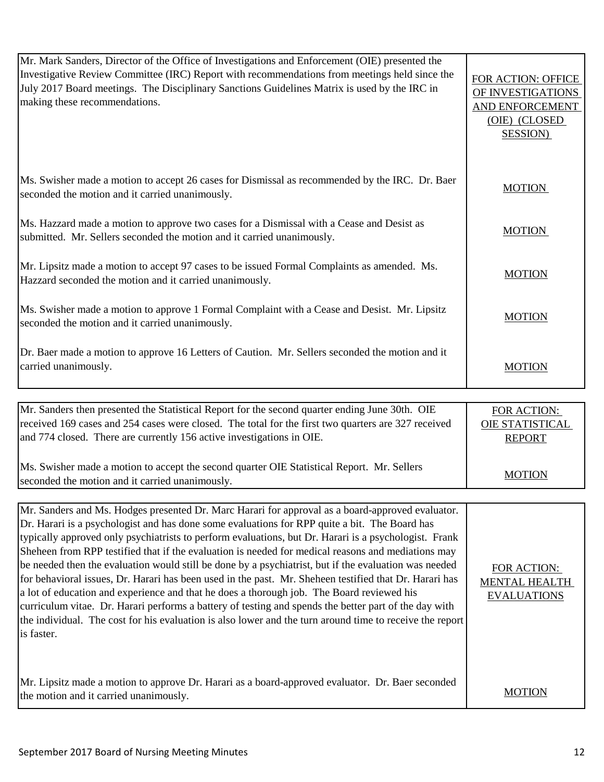| Mr. Mark Sanders, Director of the Office of Investigations and Enforcement (OIE) presented the<br>Investigative Review Committee (IRC) Report with recommendations from meetings held since the<br>July 2017 Board meetings. The Disciplinary Sanctions Guidelines Matrix is used by the IRC in<br>making these recommendations.                                                                                                                                                                                                                                                                                                                                                                                                                                                                                                                                                                                                                                    | FOR ACTION: OFFICE<br>OF INVESTIGATIONS<br>AND ENFORCEMENT<br>(OIE) (CLOSED<br><b>SESSION</b> ) |
|---------------------------------------------------------------------------------------------------------------------------------------------------------------------------------------------------------------------------------------------------------------------------------------------------------------------------------------------------------------------------------------------------------------------------------------------------------------------------------------------------------------------------------------------------------------------------------------------------------------------------------------------------------------------------------------------------------------------------------------------------------------------------------------------------------------------------------------------------------------------------------------------------------------------------------------------------------------------|-------------------------------------------------------------------------------------------------|
| Ms. Swisher made a motion to accept 26 cases for Dismissal as recommended by the IRC. Dr. Baer<br>seconded the motion and it carried unanimously.                                                                                                                                                                                                                                                                                                                                                                                                                                                                                                                                                                                                                                                                                                                                                                                                                   | <b>MOTION</b>                                                                                   |
| Ms. Hazzard made a motion to approve two cases for a Dismissal with a Cease and Desist as<br>submitted. Mr. Sellers seconded the motion and it carried unanimously.                                                                                                                                                                                                                                                                                                                                                                                                                                                                                                                                                                                                                                                                                                                                                                                                 | <b>MOTION</b>                                                                                   |
| Mr. Lipsitz made a motion to accept 97 cases to be issued Formal Complaints as amended. Ms.<br>Hazzard seconded the motion and it carried unanimously.                                                                                                                                                                                                                                                                                                                                                                                                                                                                                                                                                                                                                                                                                                                                                                                                              | <b>MOTION</b>                                                                                   |
| Ms. Swisher made a motion to approve 1 Formal Complaint with a Cease and Desist. Mr. Lipsitz<br>seconded the motion and it carried unanimously.                                                                                                                                                                                                                                                                                                                                                                                                                                                                                                                                                                                                                                                                                                                                                                                                                     | <b>MOTION</b>                                                                                   |
| Dr. Baer made a motion to approve 16 Letters of Caution. Mr. Sellers seconded the motion and it<br>carried unanimously.                                                                                                                                                                                                                                                                                                                                                                                                                                                                                                                                                                                                                                                                                                                                                                                                                                             | <b>MOTION</b>                                                                                   |
|                                                                                                                                                                                                                                                                                                                                                                                                                                                                                                                                                                                                                                                                                                                                                                                                                                                                                                                                                                     |                                                                                                 |
|                                                                                                                                                                                                                                                                                                                                                                                                                                                                                                                                                                                                                                                                                                                                                                                                                                                                                                                                                                     |                                                                                                 |
| Mr. Sanders then presented the Statistical Report for the second quarter ending June 30th. OIE<br>received 169 cases and 254 cases were closed. The total for the first two quarters are 327 received<br>and 774 closed. There are currently 156 active investigations in OIE.                                                                                                                                                                                                                                                                                                                                                                                                                                                                                                                                                                                                                                                                                      | FOR ACTION:<br>OIE STATISTICAL<br><b>REPORT</b>                                                 |
| Ms. Swisher made a motion to accept the second quarter OIE Statistical Report. Mr. Sellers<br>seconded the motion and it carried unanimously.                                                                                                                                                                                                                                                                                                                                                                                                                                                                                                                                                                                                                                                                                                                                                                                                                       | <b>MOTION</b>                                                                                   |
| Mr. Sanders and Ms. Hodges presented Dr. Marc Harari for approval as a board-approved evaluator.<br>Dr. Harari is a psychologist and has done some evaluations for RPP quite a bit. The Board has<br>typically approved only psychiatrists to perform evaluations, but Dr. Harari is a psychologist. Frank<br>Sheheen from RPP testified that if the evaluation is needed for medical reasons and mediations may<br>be needed then the evaluation would still be done by a psychiatrist, but if the evaluation was needed<br>for behavioral issues, Dr. Harari has been used in the past. Mr. Sheheen testified that Dr. Harari has<br>a lot of education and experience and that he does a thorough job. The Board reviewed his<br>curriculum vitae. Dr. Harari performs a battery of testing and spends the better part of the day with<br>the individual. The cost for his evaluation is also lower and the turn around time to receive the report<br>is faster. | FOR ACTION:<br><b>MENTAL HEALTH</b><br><b>EVALUATIONS</b>                                       |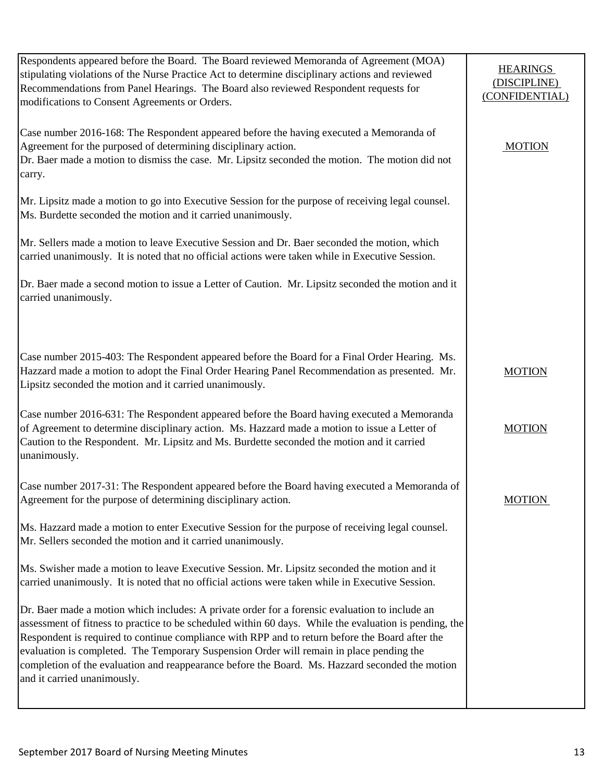| Respondents appeared before the Board. The Board reviewed Memoranda of Agreement (MOA)<br>stipulating violations of the Nurse Practice Act to determine disciplinary actions and reviewed<br>Recommendations from Panel Hearings. The Board also reviewed Respondent requests for<br>modifications to Consent Agreements or Orders.                                                                                                                                                                                                       | <b>HEARINGS</b><br>(DISCIPLINE)<br>(CONFIDENTIAL) |
|-------------------------------------------------------------------------------------------------------------------------------------------------------------------------------------------------------------------------------------------------------------------------------------------------------------------------------------------------------------------------------------------------------------------------------------------------------------------------------------------------------------------------------------------|---------------------------------------------------|
| Case number 2016-168: The Respondent appeared before the having executed a Memoranda of<br>Agreement for the purposed of determining disciplinary action.<br>Dr. Baer made a motion to dismiss the case. Mr. Lipsitz seconded the motion. The motion did not<br>carry.                                                                                                                                                                                                                                                                    | <b>MOTION</b>                                     |
| Mr. Lipsitz made a motion to go into Executive Session for the purpose of receiving legal counsel.<br>Ms. Burdette seconded the motion and it carried unanimously.                                                                                                                                                                                                                                                                                                                                                                        |                                                   |
| Mr. Sellers made a motion to leave Executive Session and Dr. Baer seconded the motion, which<br>carried unanimously. It is noted that no official actions were taken while in Executive Session.                                                                                                                                                                                                                                                                                                                                          |                                                   |
| Dr. Baer made a second motion to issue a Letter of Caution. Mr. Lipsitz seconded the motion and it<br>carried unanimously.                                                                                                                                                                                                                                                                                                                                                                                                                |                                                   |
|                                                                                                                                                                                                                                                                                                                                                                                                                                                                                                                                           |                                                   |
| Case number 2015-403: The Respondent appeared before the Board for a Final Order Hearing. Ms.<br>Hazzard made a motion to adopt the Final Order Hearing Panel Recommendation as presented. Mr.<br>Lipsitz seconded the motion and it carried unanimously.                                                                                                                                                                                                                                                                                 | <b>MOTION</b>                                     |
| Case number 2016-631: The Respondent appeared before the Board having executed a Memoranda<br>of Agreement to determine disciplinary action. Ms. Hazzard made a motion to issue a Letter of<br>Caution to the Respondent. Mr. Lipsitz and Ms. Burdette seconded the motion and it carried<br>unanimously.                                                                                                                                                                                                                                 | <b>MOTION</b>                                     |
| Case number 2017-31: The Respondent appeared before the Board having executed a Memoranda of<br>Agreement for the purpose of determining disciplinary action.                                                                                                                                                                                                                                                                                                                                                                             | <b>MOTION</b>                                     |
| Ms. Hazzard made a motion to enter Executive Session for the purpose of receiving legal counsel.<br>Mr. Sellers seconded the motion and it carried unanimously.                                                                                                                                                                                                                                                                                                                                                                           |                                                   |
| Ms. Swisher made a motion to leave Executive Session. Mr. Lipsitz seconded the motion and it<br>carried unanimously. It is noted that no official actions were taken while in Executive Session.                                                                                                                                                                                                                                                                                                                                          |                                                   |
| Dr. Baer made a motion which includes: A private order for a forensic evaluation to include an<br>assessment of fitness to practice to be scheduled within 60 days. While the evaluation is pending, the<br>Respondent is required to continue compliance with RPP and to return before the Board after the<br>evaluation is completed. The Temporary Suspension Order will remain in place pending the<br>completion of the evaluation and reappearance before the Board. Ms. Hazzard seconded the motion<br>and it carried unanimously. |                                                   |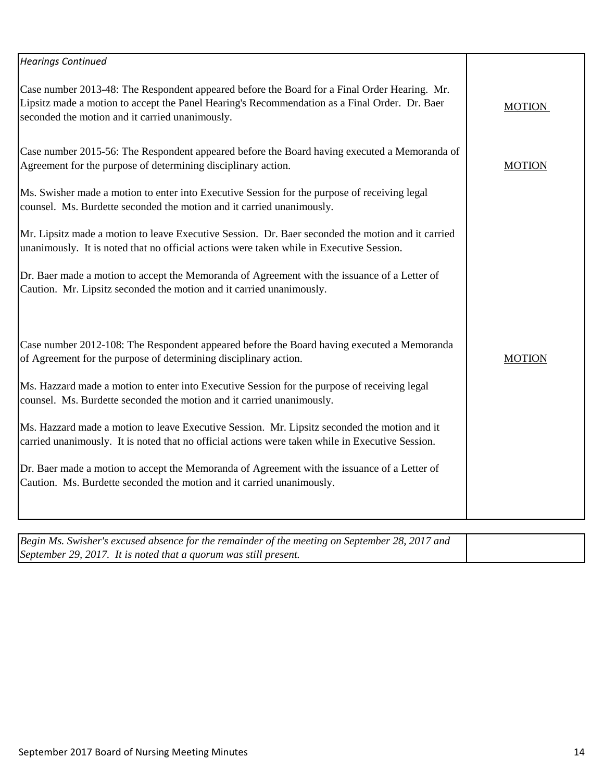| <b>Hearings Continued</b>                                                                                                                                                                                                                        |               |
|--------------------------------------------------------------------------------------------------------------------------------------------------------------------------------------------------------------------------------------------------|---------------|
| Case number 2013-48: The Respondent appeared before the Board for a Final Order Hearing. Mr.<br>Lipsitz made a motion to accept the Panel Hearing's Recommendation as a Final Order. Dr. Baer<br>seconded the motion and it carried unanimously. | <b>MOTION</b> |
| Case number 2015-56: The Respondent appeared before the Board having executed a Memoranda of<br>Agreement for the purpose of determining disciplinary action.                                                                                    | <b>MOTION</b> |
| Ms. Swisher made a motion to enter into Executive Session for the purpose of receiving legal<br>counsel. Ms. Burdette seconded the motion and it carried unanimously.                                                                            |               |
| Mr. Lipsitz made a motion to leave Executive Session. Dr. Baer seconded the motion and it carried<br>unanimously. It is noted that no official actions were taken while in Executive Session.                                                    |               |
| Dr. Baer made a motion to accept the Memoranda of Agreement with the issuance of a Letter of<br>Caution. Mr. Lipsitz seconded the motion and it carried unanimously.                                                                             |               |
| Case number 2012-108: The Respondent appeared before the Board having executed a Memoranda<br>of Agreement for the purpose of determining disciplinary action.                                                                                   | <b>MOTION</b> |
| Ms. Hazzard made a motion to enter into Executive Session for the purpose of receiving legal<br>counsel. Ms. Burdette seconded the motion and it carried unanimously.                                                                            |               |
| Ms. Hazzard made a motion to leave Executive Session. Mr. Lipsitz seconded the motion and it<br>carried unanimously. It is noted that no official actions were taken while in Executive Session.                                                 |               |
| Dr. Baer made a motion to accept the Memoranda of Agreement with the issuance of a Letter of<br>Caution. Ms. Burdette seconded the motion and it carried unanimously.                                                                            |               |
|                                                                                                                                                                                                                                                  |               |
| Begin Ms. Swisher's excused absence for the remainder of the meeting on September 28, 2017 and<br>September 29, 2017. It is noted that a quorum was still present.                                                                               |               |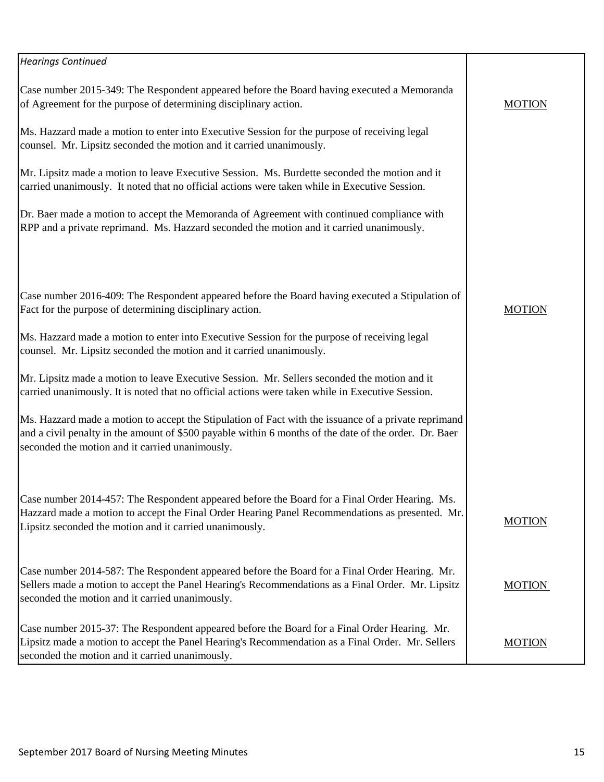| <b>Hearings Continued</b>                                                                                                                                                                                                                                        |               |
|------------------------------------------------------------------------------------------------------------------------------------------------------------------------------------------------------------------------------------------------------------------|---------------|
| Case number 2015-349: The Respondent appeared before the Board having executed a Memoranda<br>of Agreement for the purpose of determining disciplinary action.                                                                                                   | <b>MOTION</b> |
| Ms. Hazzard made a motion to enter into Executive Session for the purpose of receiving legal<br>counsel. Mr. Lipsitz seconded the motion and it carried unanimously.                                                                                             |               |
| Mr. Lipsitz made a motion to leave Executive Session. Ms. Burdette seconded the motion and it<br>carried unanimously. It noted that no official actions were taken while in Executive Session.                                                                   |               |
| Dr. Baer made a motion to accept the Memoranda of Agreement with continued compliance with<br>RPP and a private reprimand. Ms. Hazzard seconded the motion and it carried unanimously.                                                                           |               |
|                                                                                                                                                                                                                                                                  |               |
| Case number 2016-409: The Respondent appeared before the Board having executed a Stipulation of<br>Fact for the purpose of determining disciplinary action.                                                                                                      | <b>MOTION</b> |
| Ms. Hazzard made a motion to enter into Executive Session for the purpose of receiving legal<br>counsel. Mr. Lipsitz seconded the motion and it carried unanimously.                                                                                             |               |
| Mr. Lipsitz made a motion to leave Executive Session. Mr. Sellers seconded the motion and it<br>carried unanimously. It is noted that no official actions were taken while in Executive Session.                                                                 |               |
| Ms. Hazzard made a motion to accept the Stipulation of Fact with the issuance of a private reprimand<br>and a civil penalty in the amount of \$500 payable within 6 months of the date of the order. Dr. Baer<br>seconded the motion and it carried unanimously. |               |
|                                                                                                                                                                                                                                                                  |               |
| Case number 2014-457: The Respondent appeared before the Board for a Final Order Hearing. Ms.<br>Hazzard made a motion to accept the Final Order Hearing Panel Recommendations as presented. Mr.<br>Lipsitz seconded the motion and it carried unanimously.      | <b>MOTION</b> |
| Case number 2014-587: The Respondent appeared before the Board for a Final Order Hearing. Mr.<br>Sellers made a motion to accept the Panel Hearing's Recommendations as a Final Order. Mr. Lipsitz<br>seconded the motion and it carried unanimously.            | <b>MOTION</b> |
| Case number 2015-37: The Respondent appeared before the Board for a Final Order Hearing. Mr.<br>Lipsitz made a motion to accept the Panel Hearing's Recommendation as a Final Order. Mr. Sellers<br>seconded the motion and it carried unanimously.              | <b>MOTION</b> |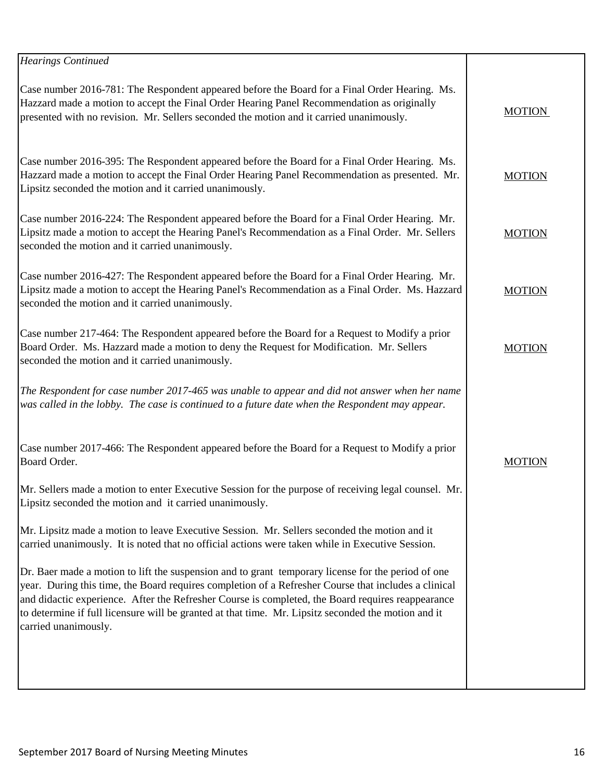| <b>Hearings Continued</b>                                                                                                                                                                                                                                                                                                                                                                                                                      |               |
|------------------------------------------------------------------------------------------------------------------------------------------------------------------------------------------------------------------------------------------------------------------------------------------------------------------------------------------------------------------------------------------------------------------------------------------------|---------------|
| Case number 2016-781: The Respondent appeared before the Board for a Final Order Hearing. Ms.<br>Hazzard made a motion to accept the Final Order Hearing Panel Recommendation as originally<br>presented with no revision. Mr. Sellers seconded the motion and it carried unanimously.                                                                                                                                                         | <b>MOTION</b> |
| Case number 2016-395: The Respondent appeared before the Board for a Final Order Hearing. Ms.<br>Hazzard made a motion to accept the Final Order Hearing Panel Recommendation as presented. Mr.<br>Lipsitz seconded the motion and it carried unanimously.                                                                                                                                                                                     | <b>MOTION</b> |
| Case number 2016-224: The Respondent appeared before the Board for a Final Order Hearing. Mr.<br>Lipsitz made a motion to accept the Hearing Panel's Recommendation as a Final Order. Mr. Sellers<br>seconded the motion and it carried unanimously.                                                                                                                                                                                           | <b>MOTION</b> |
| Case number 2016-427: The Respondent appeared before the Board for a Final Order Hearing. Mr.<br>Lipsitz made a motion to accept the Hearing Panel's Recommendation as a Final Order. Ms. Hazzard<br>seconded the motion and it carried unanimously.                                                                                                                                                                                           | <b>MOTION</b> |
| Case number 217-464: The Respondent appeared before the Board for a Request to Modify a prior<br>Board Order. Ms. Hazzard made a motion to deny the Request for Modification. Mr. Sellers<br>seconded the motion and it carried unanimously.                                                                                                                                                                                                   | <b>MOTION</b> |
| The Respondent for case number 2017-465 was unable to appear and did not answer when her name<br>was called in the lobby. The case is continued to a future date when the Respondent may appear.                                                                                                                                                                                                                                               |               |
| Case number 2017-466: The Respondent appeared before the Board for a Request to Modify a prior<br>Board Order.                                                                                                                                                                                                                                                                                                                                 | <b>MOTION</b> |
| Mr. Sellers made a motion to enter Executive Session for the purpose of receiving legal counsel. Mr.<br>Lipsitz seconded the motion and it carried unanimously.                                                                                                                                                                                                                                                                                |               |
| Mr. Lipsitz made a motion to leave Executive Session. Mr. Sellers seconded the motion and it<br>carried unanimously. It is noted that no official actions were taken while in Executive Session.                                                                                                                                                                                                                                               |               |
| Dr. Baer made a motion to lift the suspension and to grant temporary license for the period of one<br>year. During this time, the Board requires completion of a Refresher Course that includes a clinical<br>and didactic experience. After the Refresher Course is completed, the Board requires reappearance<br>to determine if full licensure will be granted at that time. Mr. Lipsitz seconded the motion and it<br>carried unanimously. |               |
|                                                                                                                                                                                                                                                                                                                                                                                                                                                |               |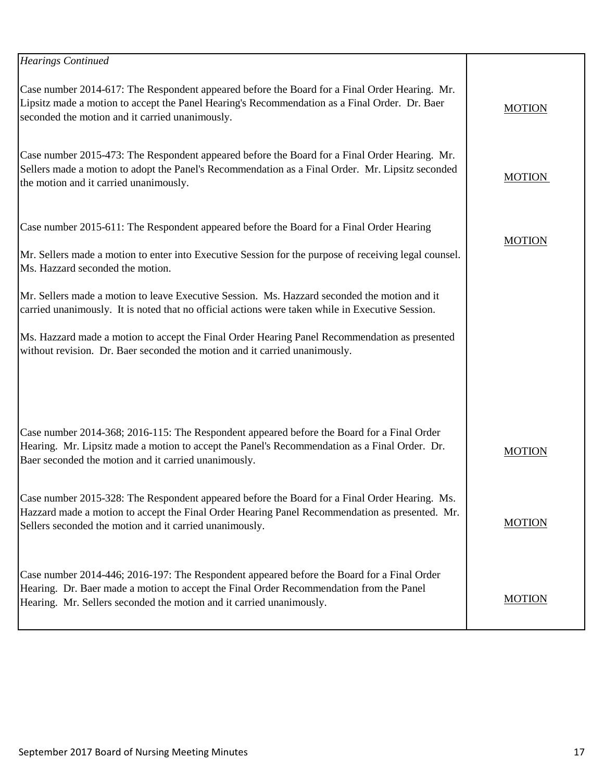| <b>Hearings Continued</b>                                                                                                                                                                                                                                     |               |
|---------------------------------------------------------------------------------------------------------------------------------------------------------------------------------------------------------------------------------------------------------------|---------------|
| Case number 2014-617: The Respondent appeared before the Board for a Final Order Hearing. Mr.<br>Lipsitz made a motion to accept the Panel Hearing's Recommendation as a Final Order. Dr. Baer<br>seconded the motion and it carried unanimously.             | <b>MOTION</b> |
| Case number 2015-473: The Respondent appeared before the Board for a Final Order Hearing. Mr.<br>Sellers made a motion to adopt the Panel's Recommendation as a Final Order. Mr. Lipsitz seconded<br>the motion and it carried unanimously.                   | <b>MOTION</b> |
| Case number 2015-611: The Respondent appeared before the Board for a Final Order Hearing<br>Mr. Sellers made a motion to enter into Executive Session for the purpose of receiving legal counsel.<br>Ms. Hazzard seconded the motion.                         | <b>MOTION</b> |
| Mr. Sellers made a motion to leave Executive Session. Ms. Hazzard seconded the motion and it<br>carried unanimously. It is noted that no official actions were taken while in Executive Session.                                                              |               |
| Ms. Hazzard made a motion to accept the Final Order Hearing Panel Recommendation as presented<br>without revision. Dr. Baer seconded the motion and it carried unanimously.                                                                                   |               |
|                                                                                                                                                                                                                                                               |               |
| Case number 2014-368; 2016-115: The Respondent appeared before the Board for a Final Order<br>Hearing. Mr. Lipsitz made a motion to accept the Panel's Recommendation as a Final Order. Dr.<br>Baer seconded the motion and it carried unanimously.           | <b>MOTION</b> |
| Case number 2015-328: The Respondent appeared before the Board for a Final Order Hearing. Ms.<br>Hazzard made a motion to accept the Final Order Hearing Panel Recommendation as presented. Mr.<br>Sellers seconded the motion and it carried unanimously.    | <b>MOTION</b> |
| Case number 2014-446; 2016-197: The Respondent appeared before the Board for a Final Order<br>Hearing. Dr. Baer made a motion to accept the Final Order Recommendation from the Panel<br>Hearing. Mr. Sellers seconded the motion and it carried unanimously. | <b>MOTION</b> |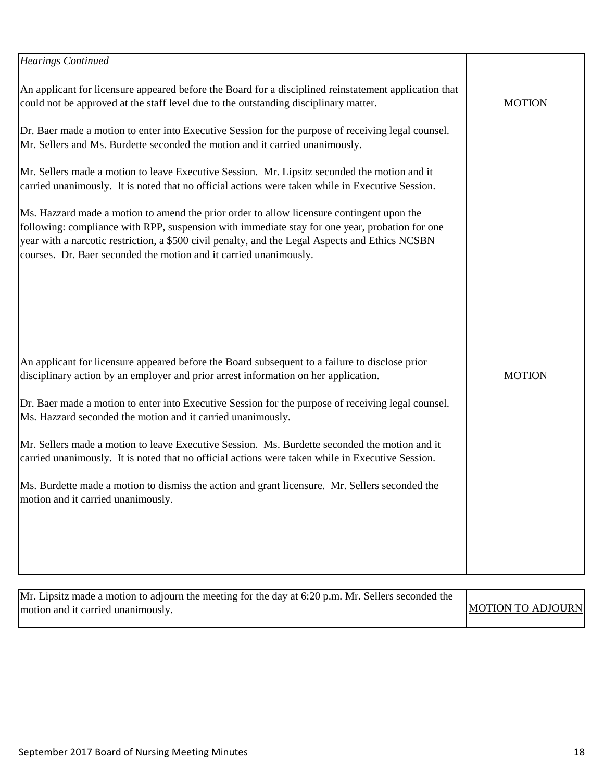| <b>Hearings Continued</b>                                                                                                                                                                                                                                                                                                                                           |               |
|---------------------------------------------------------------------------------------------------------------------------------------------------------------------------------------------------------------------------------------------------------------------------------------------------------------------------------------------------------------------|---------------|
| An applicant for licensure appeared before the Board for a disciplined reinstatement application that<br>could not be approved at the staff level due to the outstanding disciplinary matter.                                                                                                                                                                       | <b>MOTION</b> |
| Dr. Baer made a motion to enter into Executive Session for the purpose of receiving legal counsel.<br>Mr. Sellers and Ms. Burdette seconded the motion and it carried unanimously.                                                                                                                                                                                  |               |
| Mr. Sellers made a motion to leave Executive Session. Mr. Lipsitz seconded the motion and it<br>carried unanimously. It is noted that no official actions were taken while in Executive Session.                                                                                                                                                                    |               |
| Ms. Hazzard made a motion to amend the prior order to allow licensure contingent upon the<br>following: compliance with RPP, suspension with immediate stay for one year, probation for one<br>year with a narcotic restriction, a \$500 civil penalty, and the Legal Aspects and Ethics NCSBN<br>courses. Dr. Baer seconded the motion and it carried unanimously. |               |
|                                                                                                                                                                                                                                                                                                                                                                     |               |
| An applicant for licensure appeared before the Board subsequent to a failure to disclose prior<br>disciplinary action by an employer and prior arrest information on her application.                                                                                                                                                                               | <b>MOTION</b> |
| Dr. Baer made a motion to enter into Executive Session for the purpose of receiving legal counsel.<br>Ms. Hazzard seconded the motion and it carried unanimously.                                                                                                                                                                                                   |               |
| Mr. Sellers made a motion to leave Executive Session. Ms. Burdette seconded the motion and it<br>carried unanimously. It is noted that no official actions were taken while in Executive Session.                                                                                                                                                                   |               |
| Ms. Burdette made a motion to dismiss the action and grant licensure. Mr. Sellers seconded the<br>motion and it carried unanimously.                                                                                                                                                                                                                                |               |
|                                                                                                                                                                                                                                                                                                                                                                     |               |
|                                                                                                                                                                                                                                                                                                                                                                     |               |

| Mr. Lipsitz made a motion to adjourn the meeting for the day at $6:20$ p.m. Mr. Sellers seconded the |                   |
|------------------------------------------------------------------------------------------------------|-------------------|
| motion and it carried unanimously.                                                                   | MOTION TO ADJOURN |
|                                                                                                      |                   |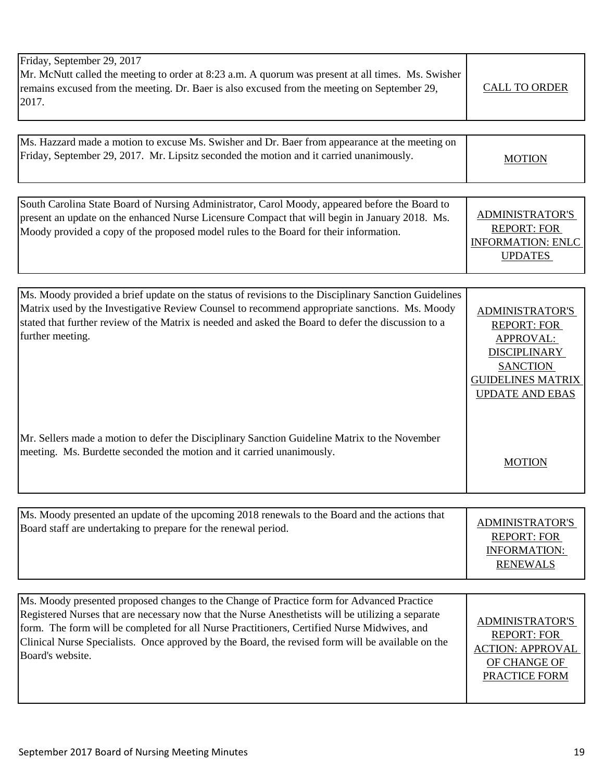| Friday, September 29, 2017<br>Mr. McNutt called the meeting to order at 8:23 a.m. A quorum was present at all times. Ms. Swisher<br>remains excused from the meeting. Dr. Baer is also excused from the meeting on September 29,<br>2017.                                                                                                                                                                              | <b>CALL TO ORDER</b>                                                                                                                                             |
|------------------------------------------------------------------------------------------------------------------------------------------------------------------------------------------------------------------------------------------------------------------------------------------------------------------------------------------------------------------------------------------------------------------------|------------------------------------------------------------------------------------------------------------------------------------------------------------------|
| Ms. Hazzard made a motion to excuse Ms. Swisher and Dr. Baer from appearance at the meeting on<br>Friday, September 29, 2017. Mr. Lipsitz seconded the motion and it carried unanimously.                                                                                                                                                                                                                              | <b>MOTION</b>                                                                                                                                                    |
| South Carolina State Board of Nursing Administrator, Carol Moody, appeared before the Board to<br>present an update on the enhanced Nurse Licensure Compact that will begin in January 2018. Ms.<br>Moody provided a copy of the proposed model rules to the Board for their information.                                                                                                                              | <b>ADMINISTRATOR'S</b><br><b>REPORT: FOR</b><br><b>INFORMATION: ENLC</b><br><b>UPDATES</b>                                                                       |
|                                                                                                                                                                                                                                                                                                                                                                                                                        |                                                                                                                                                                  |
| Ms. Moody provided a brief update on the status of revisions to the Disciplinary Sanction Guidelines<br>Matrix used by the Investigative Review Counsel to recommend appropriate sanctions. Ms. Moody<br>stated that further review of the Matrix is needed and asked the Board to defer the discussion to a<br>further meeting.                                                                                       | <b>ADMINISTRATOR'S</b><br><b>REPORT: FOR</b><br><b>APPROVAL:</b><br><b>DISCIPLINARY</b><br><b>SANCTION</b><br><b>GUIDELINES MATRIX</b><br><b>UPDATE AND EBAS</b> |
| Mr. Sellers made a motion to defer the Disciplinary Sanction Guideline Matrix to the November<br>meeting. Ms. Burdette seconded the motion and it carried unanimously.                                                                                                                                                                                                                                                 | <b>MOTION</b>                                                                                                                                                    |
|                                                                                                                                                                                                                                                                                                                                                                                                                        |                                                                                                                                                                  |
| Ms. Moody presented an update of the upcoming 2018 renewals to the Board and the actions that<br>Board staff are undertaking to prepare for the renewal period.                                                                                                                                                                                                                                                        | <b>ADMINISTRATOR'S</b><br><b>REPORT: FOR</b><br>INFORMATION:<br><b>RENEWALS</b>                                                                                  |
|                                                                                                                                                                                                                                                                                                                                                                                                                        |                                                                                                                                                                  |
| Ms. Moody presented proposed changes to the Change of Practice form for Advanced Practice<br>Registered Nurses that are necessary now that the Nurse Anesthetists will be utilizing a separate<br>form. The form will be completed for all Nurse Practitioners, Certified Nurse Midwives, and<br>Clinical Nurse Specialists. Once approved by the Board, the revised form will be available on the<br>Board's website. | <b>ADMINISTRATOR'S</b><br><b>REPORT: FOR</b><br><b>ACTION: APPROVAL</b><br>OF CHANGE OF<br><b>PRACTICE FORM</b>                                                  |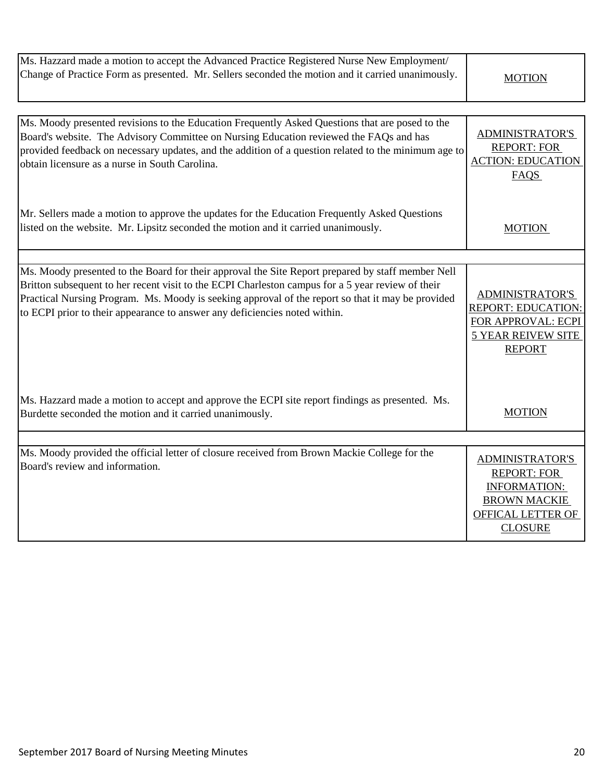| Ms. Hazzard made a motion to accept the Advanced Practice Registered Nurse New Employment/        |               |
|---------------------------------------------------------------------------------------------------|---------------|
| Change of Practice Form as presented. Mr. Sellers seconded the motion and it carried unanimously. | <b>MOTION</b> |

| Ms. Moody presented revisions to the Education Frequently Asked Questions that are posed to the<br>Board's website. The Advisory Committee on Nursing Education reviewed the FAQs and has<br>provided feedback on necessary updates, and the addition of a question related to the minimum age to<br>obtain licensure as a nurse in South Carolina.                                       | <b>ADMINISTRATOR'S</b><br><b>REPORT: FOR</b><br><b>ACTION: EDUCATION</b><br><b>FAQS</b>                                           |
|-------------------------------------------------------------------------------------------------------------------------------------------------------------------------------------------------------------------------------------------------------------------------------------------------------------------------------------------------------------------------------------------|-----------------------------------------------------------------------------------------------------------------------------------|
| Mr. Sellers made a motion to approve the updates for the Education Frequently Asked Questions<br>listed on the website. Mr. Lipsitz seconded the motion and it carried unanimously.                                                                                                                                                                                                       | <b>MOTION</b>                                                                                                                     |
|                                                                                                                                                                                                                                                                                                                                                                                           |                                                                                                                                   |
| Ms. Moody presented to the Board for their approval the Site Report prepared by staff member Nell<br>Britton subsequent to her recent visit to the ECPI Charleston campus for a 5 year review of their<br>Practical Nursing Program. Ms. Moody is seeking approval of the report so that it may be provided<br>to ECPI prior to their appearance to answer any deficiencies noted within. | <b>ADMINISTRATOR'S</b><br><b>REPORT: EDUCATION:</b><br>FOR APPROVAL: ECPI<br><b>5 YEAR REIVEW SITE</b><br><b>REPORT</b>           |
| Ms. Hazzard made a motion to accept and approve the ECPI site report findings as presented. Ms.<br>Burdette seconded the motion and it carried unanimously.                                                                                                                                                                                                                               | <b>MOTION</b>                                                                                                                     |
|                                                                                                                                                                                                                                                                                                                                                                                           |                                                                                                                                   |
| Ms. Moody provided the official letter of closure received from Brown Mackie College for the<br>Board's review and information.                                                                                                                                                                                                                                                           | <b>ADMINISTRATOR'S</b><br><b>REPORT: FOR</b><br><b>INFORMATION:</b><br><b>BROWN MACKIE</b><br>OFFICAL LETTER OF<br><b>CLOSURE</b> |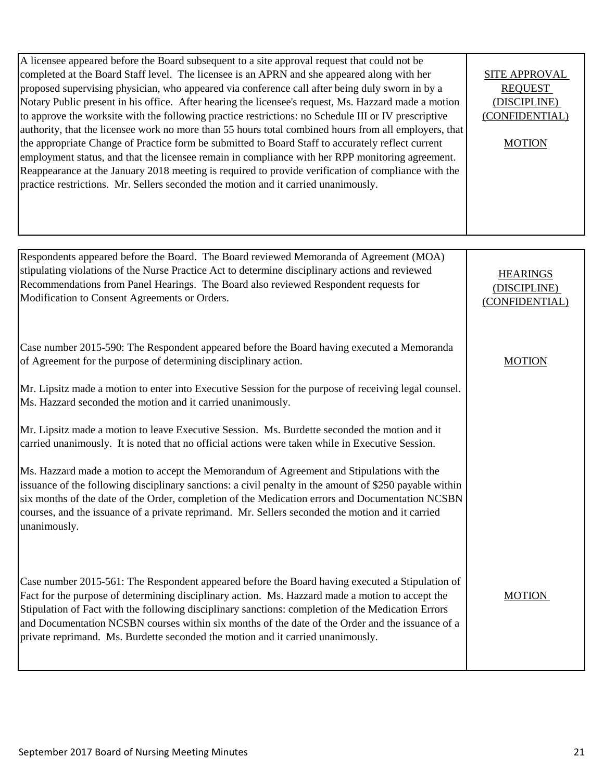| A licensee appeared before the Board subsequent to a site approval request that could not be<br>completed at the Board Staff level. The licensee is an APRN and she appeared along with her<br>proposed supervising physician, who appeared via conference call after being duly sworn in by a<br>Notary Public present in his office. After hearing the licensee's request, Ms. Hazzard made a motion<br>to approve the worksite with the following practice restrictions: no Schedule III or IV prescriptive<br>authority, that the licensee work no more than 55 hours total combined hours from all employers, that<br>the appropriate Change of Practice form be submitted to Board Staff to accurately reflect current<br>employment status, and that the licensee remain in compliance with her RPP monitoring agreement.<br>Reappearance at the January 2018 meeting is required to provide verification of compliance with the<br>practice restrictions. Mr. Sellers seconded the motion and it carried unanimously. | <b>SITE APPROVAL</b><br><b>REQUEST</b><br>(DISCIPLINE)<br>(CONFIDENTIAL)<br><b>MOTION</b> |
|-------------------------------------------------------------------------------------------------------------------------------------------------------------------------------------------------------------------------------------------------------------------------------------------------------------------------------------------------------------------------------------------------------------------------------------------------------------------------------------------------------------------------------------------------------------------------------------------------------------------------------------------------------------------------------------------------------------------------------------------------------------------------------------------------------------------------------------------------------------------------------------------------------------------------------------------------------------------------------------------------------------------------------|-------------------------------------------------------------------------------------------|
|                                                                                                                                                                                                                                                                                                                                                                                                                                                                                                                                                                                                                                                                                                                                                                                                                                                                                                                                                                                                                               |                                                                                           |
| Respondents appeared before the Board. The Board reviewed Memoranda of Agreement (MOA)<br>stipulating violations of the Nurse Practice Act to determine disciplinary actions and reviewed<br>Recommendations from Panel Hearings. The Board also reviewed Respondent requests for<br>Modification to Consent Agreements or Orders.                                                                                                                                                                                                                                                                                                                                                                                                                                                                                                                                                                                                                                                                                            | <b>HEARINGS</b><br>(DISCIPLINE)<br>(CONFIDENTIAL)                                         |
| Case number 2015-590: The Respondent appeared before the Board having executed a Memoranda<br>of Agreement for the purpose of determining disciplinary action.                                                                                                                                                                                                                                                                                                                                                                                                                                                                                                                                                                                                                                                                                                                                                                                                                                                                | <b>MOTION</b>                                                                             |
| Mr. Lipsitz made a motion to enter into Executive Session for the purpose of receiving legal counsel.<br>Ms. Hazzard seconded the motion and it carried unanimously.                                                                                                                                                                                                                                                                                                                                                                                                                                                                                                                                                                                                                                                                                                                                                                                                                                                          |                                                                                           |
| Mr. Lipsitz made a motion to leave Executive Session. Ms. Burdette seconded the motion and it<br>carried unanimously. It is noted that no official actions were taken while in Executive Session.                                                                                                                                                                                                                                                                                                                                                                                                                                                                                                                                                                                                                                                                                                                                                                                                                             |                                                                                           |
| Ms. Hazzard made a motion to accept the Memorandum of Agreement and Stipulations with the<br>issuance of the following disciplinary sanctions: a civil penalty in the amount of \$250 payable within<br>six months of the date of the Order, completion of the Medication errors and Documentation NCSBN<br>courses, and the issuance of a private reprimand. Mr. Sellers seconded the motion and it carried<br>unanimously.                                                                                                                                                                                                                                                                                                                                                                                                                                                                                                                                                                                                  |                                                                                           |
| Case number 2015-561: The Respondent appeared before the Board having executed a Stipulation of<br>Fact for the purpose of determining disciplinary action. Ms. Hazzard made a motion to accept the<br>Stipulation of Fact with the following disciplinary sanctions: completion of the Medication Errors<br>and Documentation NCSBN courses within six months of the date of the Order and the issuance of a<br>private reprimand. Ms. Burdette seconded the motion and it carried unanimously.                                                                                                                                                                                                                                                                                                                                                                                                                                                                                                                              | <b>MOTION</b>                                                                             |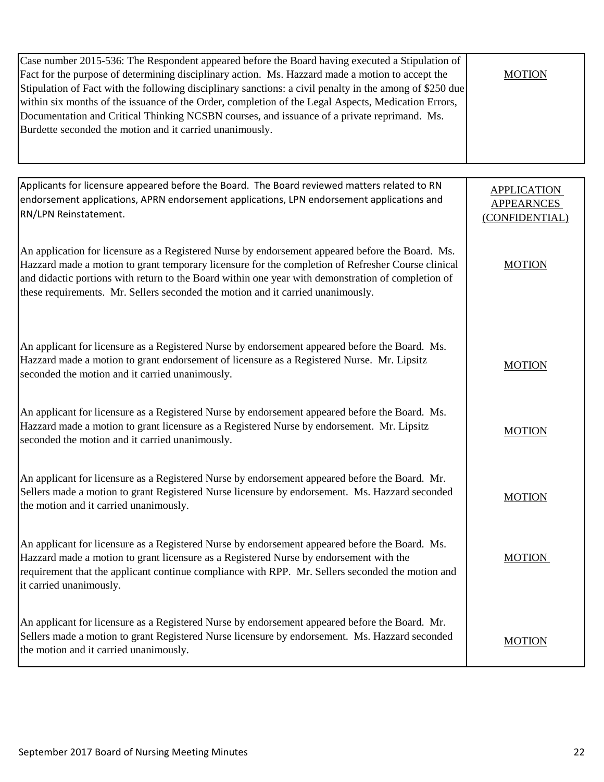| Case number 2015-536: The Respondent appeared before the Board having executed a Stipulation of<br>Fact for the purpose of determining disciplinary action. Ms. Hazzard made a motion to accept the<br>Stipulation of Fact with the following disciplinary sanctions: a civil penalty in the among of \$250 due<br>within six months of the issuance of the Order, completion of the Legal Aspects, Medication Errors,<br>Documentation and Critical Thinking NCSBN courses, and issuance of a private reprimand. Ms.<br>Burdette seconded the motion and it carried unanimously. | <b>MOTION</b>                                             |
|-----------------------------------------------------------------------------------------------------------------------------------------------------------------------------------------------------------------------------------------------------------------------------------------------------------------------------------------------------------------------------------------------------------------------------------------------------------------------------------------------------------------------------------------------------------------------------------|-----------------------------------------------------------|
|                                                                                                                                                                                                                                                                                                                                                                                                                                                                                                                                                                                   |                                                           |
| Applicants for licensure appeared before the Board. The Board reviewed matters related to RN<br>endorsement applications, APRN endorsement applications, LPN endorsement applications and<br>RN/LPN Reinstatement.                                                                                                                                                                                                                                                                                                                                                                | <b>APPLICATION</b><br><b>APPEARNCES</b><br>(CONFIDENTIAL) |
| An application for licensure as a Registered Nurse by endorsement appeared before the Board. Ms.<br>Hazzard made a motion to grant temporary licensure for the completion of Refresher Course clinical<br>and didactic portions with return to the Board within one year with demonstration of completion of<br>these requirements. Mr. Sellers seconded the motion and it carried unanimously.                                                                                                                                                                                   | <b>MOTION</b>                                             |
| An applicant for licensure as a Registered Nurse by endorsement appeared before the Board. Ms.<br>Hazzard made a motion to grant endorsement of licensure as a Registered Nurse. Mr. Lipsitz<br>seconded the motion and it carried unanimously.                                                                                                                                                                                                                                                                                                                                   | <b>MOTION</b>                                             |
| An applicant for licensure as a Registered Nurse by endorsement appeared before the Board. Ms.<br>Hazzard made a motion to grant licensure as a Registered Nurse by endorsement. Mr. Lipsitz<br>seconded the motion and it carried unanimously.                                                                                                                                                                                                                                                                                                                                   | <b>MOTION</b>                                             |
| An applicant for licensure as a Registered Nurse by endorsement appeared before the Board. Mr.<br>Sellers made a motion to grant Registered Nurse licensure by endorsement. Ms. Hazzard seconded<br>the motion and it carried unanimously.                                                                                                                                                                                                                                                                                                                                        | <b>MOTION</b>                                             |
| An applicant for licensure as a Registered Nurse by endorsement appeared before the Board. Ms.<br>Hazzard made a motion to grant licensure as a Registered Nurse by endorsement with the<br>requirement that the applicant continue compliance with RPP. Mr. Sellers seconded the motion and<br>it carried unanimously.                                                                                                                                                                                                                                                           | <b>MOTION</b>                                             |
| An applicant for licensure as a Registered Nurse by endorsement appeared before the Board. Mr.<br>Sellers made a motion to grant Registered Nurse licensure by endorsement. Ms. Hazzard seconded<br>the motion and it carried unanimously.                                                                                                                                                                                                                                                                                                                                        | <b>MOTION</b>                                             |